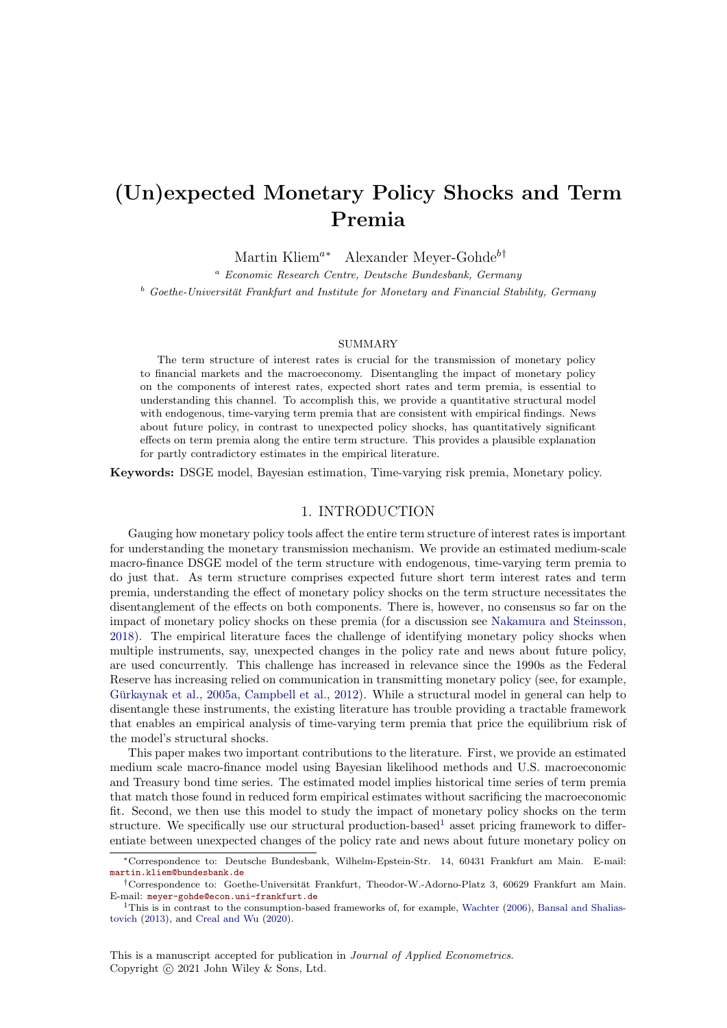# (Un)expected Monetary Policy Shocks and Term Premia

Martin Kliem<sup>a∗</sup> Alexander Meyer-Gohde<sup>b†</sup>

<sup>a</sup> Economic Research Centre, Deutsche Bundesbank, Germany  $b^b$  Goethe-Universität Frankfurt and Institute for Monetary and Financial Stability, Germany

#### **SUMMARY**

The term structure of interest rates is crucial for the transmission of monetary policy to financial markets and the macroeconomy. Disentangling the impact of monetary policy on the components of interest rates, expected short rates and term premia, is essential to understanding this channel. To accomplish this, we provide a quantitative structural model with endogenous, time-varying term premia that are consistent with empirical findings. News about future policy, in contrast to unexpected policy shocks, has quantitatively significant effects on term premia along the entire term structure. This provides a plausible explanation for partly contradictory estimates in the empirical literature.

Keywords: DSGE model, Bayesian estimation, Time-varying risk premia, Monetary policy.

#### 1. INTRODUCTION

Gauging how monetary policy tools affect the entire term structure of interest rates is important for understanding the monetary transmission mechanism. We provide an estimated medium-scale macro-finance DSGE model of the term structure with endogenous, time-varying term premia to do just that. As term structure comprises expected future short term interest rates and term premia, understanding the effect of monetary policy shocks on the term structure necessitates the disentanglement of the effects on both components. There is, however, no consensus so far on the impact of monetary policy shocks on these premia (for a discussion see [Nakamura and Steinsson,](#page-25-0) [2018\)](#page-25-0). The empirical literature faces the challenge of identifying monetary policy shocks when multiple instruments, say, unexpected changes in the policy rate and news about future policy, are used concurrently. This challenge has increased in relevance since the 1990s as the Federal Reserve has increasing relied on communication in transmitting monetary policy (see, for example, Gürkaynak et al., [2005a,](#page-24-0) [Campbell et al.,](#page-23-0) [2012\)](#page-23-0). While a structural model in general can help to disentangle these instruments, the existing literature has trouble providing a tractable framework that enables an empirical analysis of time-varying term premia that price the equilibrium risk of the model's structural shocks.

This paper makes two important contributions to the literature. First, we provide an estimated medium scale macro-finance model using Bayesian likelihood methods and U.S. macroeconomic and Treasury bond time series. The estimated model implies historical time series of term premia that match those found in reduced form empirical estimates without sacrificing the macroeconomic fit. Second, we then use this model to study the impact of monetary policy shocks on the term structure. We specifically use our structural production-based<sup>[1](#page-0-0)</sup> asset pricing framework to differentiate between unexpected changes of the policy rate and news about future monetary policy on

<sup>∗</sup>Correspondence to: Deutsche Bundesbank, Wilhelm-Epstein-Str. 14, 60431 Frankfurt am Main. E-mail: [martin.kliem@bundesbank.de](mailto:martin.kliem@bundesbank.de)

<sup>&</sup>lt;sup>†</sup>Correspondence to: Goethe-Universität Frankfurt, Theodor-W.-Adorno-Platz 3, 60629 Frankfurt am Main. E-mail: [meyer-gohde@econ.uni-frankfurt.de](mailto:meyer-gohde@econ.uni-frankfurt.de)

<span id="page-0-0"></span><sup>&</sup>lt;sup>1</sup>This is in contrast to the consumption-based frameworks of, for example, [Wachter](#page-26-0) [\(2006\)](#page-26-0), [Bansal and Shalias](#page-22-0)[tovich](#page-22-0) [\(2013\)](#page-22-0), and [Creal and Wu](#page-24-1) [\(2020\)](#page-24-1).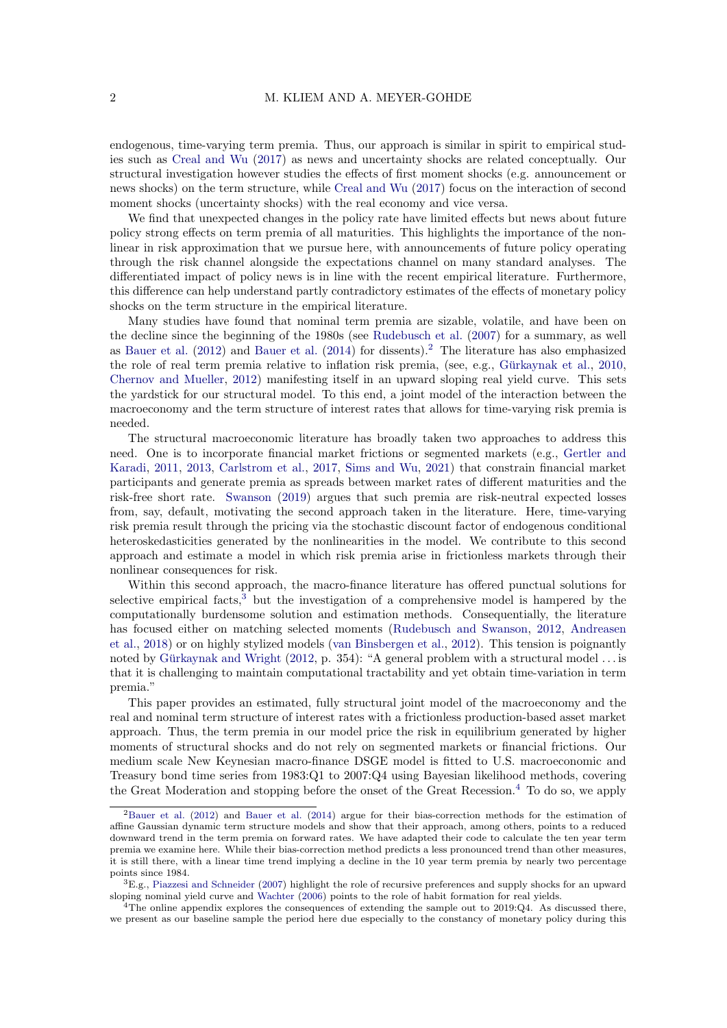endogenous, time-varying term premia. Thus, our approach is similar in spirit to empirical studies such as [Creal and Wu](#page-24-2) [\(2017\)](#page-24-2) as news and uncertainty shocks are related conceptually. Our structural investigation however studies the effects of first moment shocks (e.g. announcement or news shocks) on the term structure, while [Creal and Wu](#page-24-2) [\(2017\)](#page-24-2) focus on the interaction of second moment shocks (uncertainty shocks) with the real economy and vice versa.

We find that unexpected changes in the policy rate have limited effects but news about future policy strong effects on term premia of all maturities. This highlights the importance of the nonlinear in risk approximation that we pursue here, with announcements of future policy operating through the risk channel alongside the expectations channel on many standard analyses. The differentiated impact of policy news is in line with the recent empirical literature. Furthermore, this difference can help understand partly contradictory estimates of the effects of monetary policy shocks on the term structure in the empirical literature.

Many studies have found that nominal term premia are sizable, volatile, and have been on the decline since the beginning of the 1980s (see [Rudebusch et al.](#page-25-1) [\(2007\)](#page-25-1) for a summary, as well as [Bauer et al.](#page-23-1) [\(2012\)](#page-23-1) and [Bauer et al.](#page-23-2) [\(2014\)](#page-23-2) for dissents).[2](#page-1-0) The literature has also emphasized the role of real term premia relative to inflation risk premia, (see, e.g., Gürkaynak et al.,  $2010$ , [Chernov and Mueller,](#page-23-3) [2012\)](#page-23-3) manifesting itself in an upward sloping real yield curve. This sets the yardstick for our structural model. To this end, a joint model of the interaction between the macroeconomy and the term structure of interest rates that allows for time-varying risk premia is needed.

The structural macroeconomic literature has broadly taken two approaches to address this need. One is to incorporate financial market frictions or segmented markets (e.g., [Gertler and](#page-24-4) [Karadi,](#page-24-4) [2011,](#page-24-4) [2013,](#page-24-5) [Carlstrom et al.,](#page-23-4) [2017,](#page-23-4) [Sims and Wu,](#page-26-1) [2021\)](#page-26-1) that constrain financial market participants and generate premia as spreads between market rates of different maturities and the risk-free short rate. [Swanson](#page-26-2) [\(2019\)](#page-26-2) argues that such premia are risk-neutral expected losses from, say, default, motivating the second approach taken in the literature. Here, time-varying risk premia result through the pricing via the stochastic discount factor of endogenous conditional heteroskedasticities generated by the nonlinearities in the model. We contribute to this second approach and estimate a model in which risk premia arise in frictionless markets through their nonlinear consequences for risk.

Within this second approach, the macro-finance literature has offered punctual solutions for selective empirical facts, $3$  but the investigation of a comprehensive model is hampered by the computationally burdensome solution and estimation methods. Consequentially, the literature has focused either on matching selected moments [\(Rudebusch and Swanson,](#page-25-2) [2012,](#page-25-2) [Andreasen](#page-22-1) [et al.,](#page-22-1) [2018\)](#page-22-1) or on highly stylized models [\(van Binsbergen et al.,](#page-26-3) [2012\)](#page-26-3). This tension is poignantly noted by Gürkaynak and Wright  $(2012, p. 354)$  $(2012, p. 354)$ : "A general problem with a structural model . . . is that it is challenging to maintain computational tractability and yet obtain time-variation in term premia."

This paper provides an estimated, fully structural joint model of the macroeconomy and the real and nominal term structure of interest rates with a frictionless production-based asset market approach. Thus, the term premia in our model price the risk in equilibrium generated by higher moments of structural shocks and do not rely on segmented markets or financial frictions. Our medium scale New Keynesian macro-finance DSGE model is fitted to U.S. macroeconomic and Treasury bond time series from 1983:Q1 to 2007:Q4 using Bayesian likelihood methods, covering the Great Moderation and stopping before the onset of the Great Recession.<sup>[4](#page-1-2)</sup> To do so, we apply

<span id="page-1-0"></span><sup>2</sup>[Bauer et al.](#page-23-1) [\(2012\)](#page-23-1) and [Bauer et al.](#page-23-2) [\(2014\)](#page-23-2) argue for their bias-correction methods for the estimation of affine Gaussian dynamic term structure models and show that their approach, among others, points to a reduced downward trend in the term premia on forward rates. We have adapted their code to calculate the ten year term premia we examine here. While their bias-correction method predicts a less pronounced trend than other measures, it is still there, with a linear time trend implying a decline in the 10 year term premia by nearly two percentage points since 1984.

<span id="page-1-1"></span> ${}^{3}E.g.,$  [Piazzesi and Schneider](#page-25-3) [\(2007\)](#page-25-3) highlight the role of recursive preferences and supply shocks for an upward sloping nominal yield curve and [Wachter](#page-26-0) [\(2006\)](#page-26-0) points to the role of habit formation for real yields.

<span id="page-1-2"></span> $^{4}$ The online appendix explores the consequences of extending the sample out to 2019:Q4. As discussed there, we present as our baseline sample the period here due especially to the constancy of monetary policy during this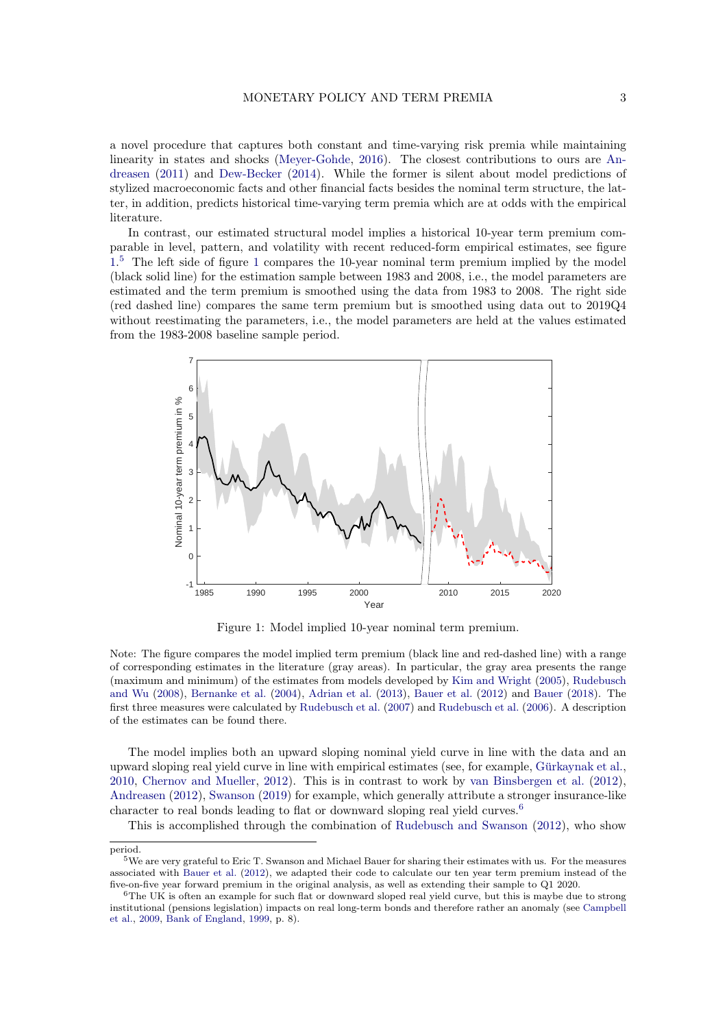a novel procedure that captures both constant and time-varying risk premia while maintaining linearity in states and shocks [\(Meyer-Gohde,](#page-25-4) [2016\)](#page-25-4). The closest contributions to ours are [An](#page-22-2)[dreasen](#page-22-2) [\(2011\)](#page-22-2) and [Dew-Becker](#page-24-7) [\(2014\)](#page-24-7). While the former is silent about model predictions of stylized macroeconomic facts and other financial facts besides the nominal term structure, the latter, in addition, predicts historical time-varying term premia which are at odds with the empirical literature.

In contrast, our estimated structural model implies a historical 10-year term premium comparable in level, pattern, and volatility with recent reduced-form empirical estimates, see figure [1.](#page-2-0) [5](#page-2-1) The left side of figure [1](#page-2-0) compares the 10-year nominal term premium implied by the model (black solid line) for the estimation sample between 1983 and 2008, i.e., the model parameters are estimated and the term premium is smoothed using the data from 1983 to 2008. The right side (red dashed line) compares the same term premium but is smoothed using data out to 2019Q4 without reestimating the parameters, i.e., the model parameters are held at the values estimated from the 1983-2008 baseline sample period.

<span id="page-2-0"></span>

Figure 1: Model implied 10-year nominal term premium.

Note: The figure compares the model implied term premium (black line and red-dashed line) with a range of corresponding estimates in the literature (gray areas). In particular, the gray area presents the range (maximum and minimum) of the estimates from models developed by [Kim and Wright](#page-25-5) [\(2005\)](#page-25-5), [Rudebusch](#page-26-4) [and Wu](#page-26-4) [\(2008\)](#page-26-4), [Bernanke et al.](#page-23-5) [\(2004\)](#page-23-5), [Adrian et al.](#page-22-3) [\(2013\)](#page-22-3), [Bauer et al.](#page-23-1) [\(2012\)](#page-23-1) and [Bauer](#page-23-6) [\(2018\)](#page-23-6). The first three measures were calculated by [Rudebusch et al.](#page-25-1) [\(2007\)](#page-25-1) and [Rudebusch et al.](#page-26-5) [\(2006\)](#page-26-5). A description of the estimates can be found there.

The model implies both an upward sloping nominal yield curve in line with the data and an upward sloping real yield curve in line with empirical estimates (see, for example, Gürkaynak et al., [2010,](#page-24-3) [Chernov and Mueller,](#page-23-3) [2012\)](#page-23-3). This is in contrast to work by [van Binsbergen et al.](#page-26-3) [\(2012\)](#page-26-3), [Andreasen](#page-22-4) [\(2012\)](#page-22-4), [Swanson](#page-26-2) [\(2019\)](#page-26-2) for example, which generally attribute a stronger insurance-like character to real bonds leading to flat or downward sloping real yield curves.[6](#page-2-2)

This is accomplished through the combination of [Rudebusch and Swanson](#page-25-2) [\(2012\)](#page-25-2), who show

period.

<span id="page-2-1"></span><sup>5</sup>We are very grateful to Eric T. Swanson and Michael Bauer for sharing their estimates with us. For the measures associated with [Bauer et al.](#page-23-1) [\(2012\)](#page-23-1), we adapted their code to calculate our ten year term premium instead of the five-on-five year forward premium in the original analysis, as well as extending their sample to Q1 2020.

<span id="page-2-2"></span> $6$ The UK is often an example for such flat or downward sloped real yield curve, but this is maybe due to strong institutional (pensions legislation) impacts on real long-term bonds and therefore rather an anomaly (see [Campbell](#page-23-7) [et al.,](#page-23-7) [2009,](#page-23-7) [Bank of England,](#page-22-5) [1999,](#page-22-5) p. 8).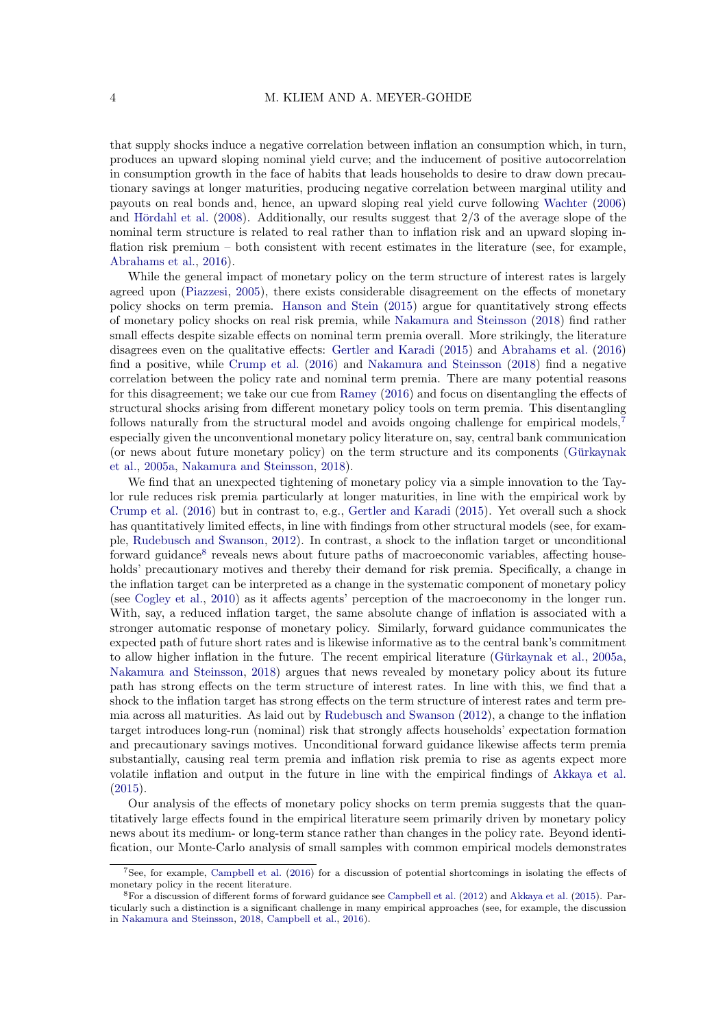that supply shocks induce a negative correlation between inflation an consumption which, in turn, produces an upward sloping nominal yield curve; and the inducement of positive autocorrelation in consumption growth in the face of habits that leads households to desire to draw down precautionary savings at longer maturities, producing negative correlation between marginal utility and payouts on real bonds and, hence, an upward sloping real yield curve following [Wachter](#page-26-0) [\(2006\)](#page-26-0) and Hördahl et al.  $(2008)$ . Additionally, our results suggest that  $2/3$  of the average slope of the nominal term structure is related to real rather than to inflation risk and an upward sloping inflation risk premium – both consistent with recent estimates in the literature (see, for example, [Abrahams et al.,](#page-22-6) [2016\)](#page-22-6).

While the general impact of monetary policy on the term structure of interest rates is largely agreed upon [\(Piazzesi,](#page-25-7) [2005\)](#page-25-7), there exists considerable disagreement on the effects of monetary policy shocks on term premia. [Hanson and Stein](#page-25-8) [\(2015\)](#page-25-8) argue for quantitatively strong effects of monetary policy shocks on real risk premia, while [Nakamura and Steinsson](#page-25-0) [\(2018\)](#page-25-0) find rather small effects despite sizable effects on nominal term premia overall. More strikingly, the literature disagrees even on the qualitative effects: [Gertler and Karadi](#page-24-8) [\(2015\)](#page-24-8) and [Abrahams et al.](#page-22-6) [\(2016\)](#page-22-6) find a positive, while [Crump et al.](#page-24-9) [\(2016\)](#page-24-9) and [Nakamura and Steinsson](#page-25-0) [\(2018\)](#page-25-0) find a negative correlation between the policy rate and nominal term premia. There are many potential reasons for this disagreement; we take our cue from [Ramey](#page-25-9) [\(2016\)](#page-25-9) and focus on disentangling the effects of structural shocks arising from different monetary policy tools on term premia. This disentangling follows naturally from the structural model and avoids ongoing challenge for empirical models,<sup>[7](#page-3-0)</sup> especially given the unconventional monetary policy literature on, say, central bank communication (or news about future monetary policy) on the term structure and its components [\(Gurkaynak](#page-24-0) ¨ [et al.,](#page-24-0) [2005a,](#page-24-0) [Nakamura and Steinsson,](#page-25-0) [2018\)](#page-25-0).

We find that an unexpected tightening of monetary policy via a simple innovation to the Taylor rule reduces risk premia particularly at longer maturities, in line with the empirical work by [Crump et al.](#page-24-9) [\(2016\)](#page-24-9) but in contrast to, e.g., [Gertler and Karadi](#page-24-8) [\(2015\)](#page-24-8). Yet overall such a shock has quantitatively limited effects, in line with findings from other structural models (see, for example, [Rudebusch and Swanson,](#page-25-2) [2012\)](#page-25-2). In contrast, a shock to the inflation target or unconditional forward guidance<sup>[8](#page-3-1)</sup> reveals news about future paths of macroeconomic variables, affecting households' precautionary motives and thereby their demand for risk premia. Specifically, a change in the inflation target can be interpreted as a change in the systematic component of monetary policy (see [Cogley et al.,](#page-24-10) [2010\)](#page-24-10) as it affects agents' perception of the macroeconomy in the longer run. With, say, a reduced inflation target, the same absolute change of inflation is associated with a stronger automatic response of monetary policy. Similarly, forward guidance communicates the expected path of future short rates and is likewise informative as to the central bank's commitment to allow higher inflation in the future. The recent empirical literature (Gürkaynak et al., [2005a,](#page-24-0) [Nakamura and Steinsson,](#page-25-0) [2018\)](#page-25-0) argues that news revealed by monetary policy about its future path has strong effects on the term structure of interest rates. In line with this, we find that a shock to the inflation target has strong effects on the term structure of interest rates and term premia across all maturities. As laid out by [Rudebusch and Swanson](#page-25-2) [\(2012\)](#page-25-2), a change to the inflation target introduces long-run (nominal) risk that strongly affects households' expectation formation and precautionary savings motives. Unconditional forward guidance likewise affects term premia substantially, causing real term premia and inflation risk premia to rise as agents expect more volatile inflation and output in the future in line with the empirical findings of [Akkaya et al.](#page-22-7) [\(2015\)](#page-22-7).

Our analysis of the effects of monetary policy shocks on term premia suggests that the quantitatively large effects found in the empirical literature seem primarily driven by monetary policy news about its medium- or long-term stance rather than changes in the policy rate. Beyond identification, our Monte-Carlo analysis of small samples with common empirical models demonstrates

<span id="page-3-0"></span><sup>7</sup>See, for example, [Campbell et al.](#page-23-8) [\(2016\)](#page-23-8) for a discussion of potential shortcomings in isolating the effects of monetary policy in the recent literature.

<span id="page-3-1"></span><sup>8</sup>For a discussion of different forms of forward guidance see [Campbell et al.](#page-23-0) [\(2012\)](#page-23-0) and [Akkaya et al.](#page-22-7) [\(2015\)](#page-22-7). Particularly such a distinction is a significant challenge in many empirical approaches (see, for example, the discussion in [Nakamura and Steinsson,](#page-25-0) [2018,](#page-25-0) [Campbell et al.,](#page-23-8) [2016\)](#page-23-8).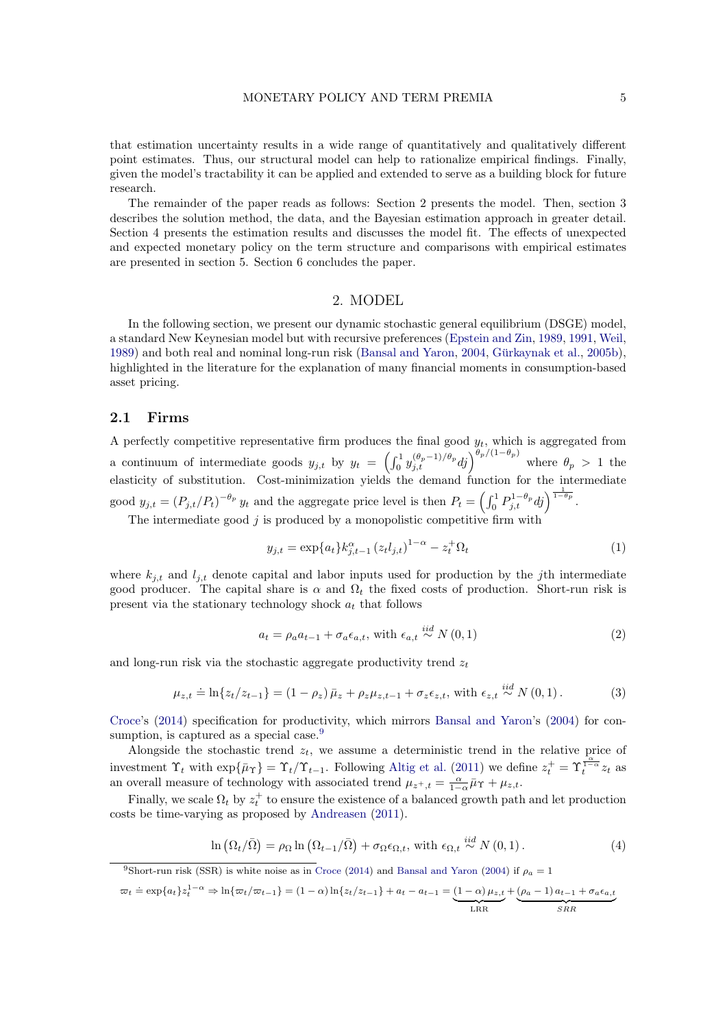that estimation uncertainty results in a wide range of quantitatively and qualitatively different point estimates. Thus, our structural model can help to rationalize empirical findings. Finally, given the model's tractability it can be applied and extended to serve as a building block for future research.

The remainder of the paper reads as follows: Section 2 presents the model. Then, section 3 describes the solution method, the data, and the Bayesian estimation approach in greater detail. Section 4 presents the estimation results and discusses the model fit. The effects of unexpected and expected monetary policy on the term structure and comparisons with empirical estimates are presented in section 5. Section 6 concludes the paper.

#### 2. MODEL

In the following section, we present our dynamic stochastic general equilibrium (DSGE) model, a standard New Keynesian model but with recursive preferences [\(Epstein and Zin,](#page-24-11) [1989,](#page-24-11) [1991,](#page-24-12) [Weil,](#page-26-6) [1989\)](#page-26-6) and both real and nominal long-run risk [\(Bansal and Yaron,](#page-23-9) [2004,](#page-23-9) Gürkaynak et al., [2005b\)](#page-24-13), highlighted in the literature for the explanation of many financial moments in consumption-based asset pricing.

#### 2.1 Firms

A perfectly competitive representative firm produces the final good  $y_t$ , which is aggregated from a continuum of intermediate goods  $y_{j,t}$  by  $y_t = \left(\int_0^1 y_{j,t}^{(\theta_p-1)/\theta_p} dj\right)^{\theta_p/(1-\theta_p)}$  where  $\theta_p > 1$  the elasticity of substitution. Cost-minimization yields the demand function for the intermediate good  $y_{j,t} = (P_{j,t}/P_t)^{-\theta_p} y_t$  and the aggregate price level is then  $P_t = \left(\int_0^1 P_{j,t}^{1-\theta_p} d_j\right)^{\frac{1}{1-\theta_p}}$ .

The intermediate good  $j$  is produced by a monopolistic competitive firm with

$$
y_{j,t} = \exp\{a_t\} k_{j,t-1}^{\alpha} (z_t l_{j,t})^{1-\alpha} - z_t^+ \Omega_t \tag{1}
$$

where  $k_{i,t}$  and  $l_{i,t}$  denote capital and labor inputs used for production by the jth intermediate good producer. The capital share is  $\alpha$  and  $\Omega_t$  the fixed costs of production. Short-run risk is present via the stationary technology shock  $a_t$  that follows

$$
a_{t} = \rho_{a} a_{t-1} + \sigma_{a} \epsilon_{a,t}, \text{ with } \epsilon_{a,t} \stackrel{iid}{\sim} N(0,1)
$$
\n
$$
(2)
$$

and long-run risk via the stochastic aggregate productivity trend  $z_t$ 

$$
\mu_{z,t} \doteq \ln\{z_t/z_{t-1}\} = (1 - \rho_z)\bar{\mu}_z + \rho_z\mu_{z,t-1} + \sigma_z\epsilon_{z,t}, \text{ with } \epsilon_{z,t} \stackrel{iid}{\sim} N(0,1). \tag{3}
$$

[Croce'](#page-24-14)s [\(2014\)](#page-24-14) specification for productivity, which mirrors [Bansal and Yaron'](#page-23-9)s [\(2004\)](#page-23-9) for con-sumption, is captured as a special case.<sup>[9](#page-4-0)</sup>

Alongside the stochastic trend  $z_t$ , we assume a deterministic trend in the relative price of investment  $\Upsilon_t$  with  $\exp\{\bar{\mu}\Upsilon\} = \Upsilon_t/\Upsilon_{t-1}$ . Following [Altig et al.](#page-22-8) [\(2011\)](#page-22-8) we define  $z_t^+ = \Upsilon_t^{\frac{c}{1-c}}z_t$  as an overall measure of technology with associated trend  $\mu_{z^+,t} = \frac{\alpha}{1-\alpha} \bar{\mu}_{\Upsilon} + \mu_{z,t}$ .

Finally, we scale  $\Omega_t$  by  $z_t^+$  to ensure the existence of a balanced growth path and let production costs be time-varying as proposed by [Andreasen](#page-22-2) [\(2011\)](#page-22-2).

$$
\ln\left(\Omega_t/\bar{\Omega}\right) = \rho_\Omega \ln\left(\Omega_{t-1}/\bar{\Omega}\right) + \sigma_\Omega \epsilon_{\Omega,t}, \text{ with } \epsilon_{\Omega,t} \stackrel{iid}{\sim} N\left(0,1\right). \tag{4}
$$

<span id="page-4-0"></span><sup>9</sup>Short-run risk (SSR) is white noise as in [Croce](#page-24-14) [\(2014\)](#page-24-14) and [Bansal and Yaron](#page-23-9) [\(2004\)](#page-23-9) if  $\rho_a = 1$ 

$$
\varpi_t \doteq \exp\{a_t\} z_t^{1-\alpha} \Rightarrow \ln\{\varpi_t/\varpi_{t-1}\} = (1-\alpha)\ln\{z_t/z_{t-1}\} + a_t - a_{t-1} = (1-\alpha)\mu_{z,t} + \underbrace{(\rho_a - 1) a_{t-1} + \sigma_a \epsilon_{a,t}}_{\text{LRR}}
$$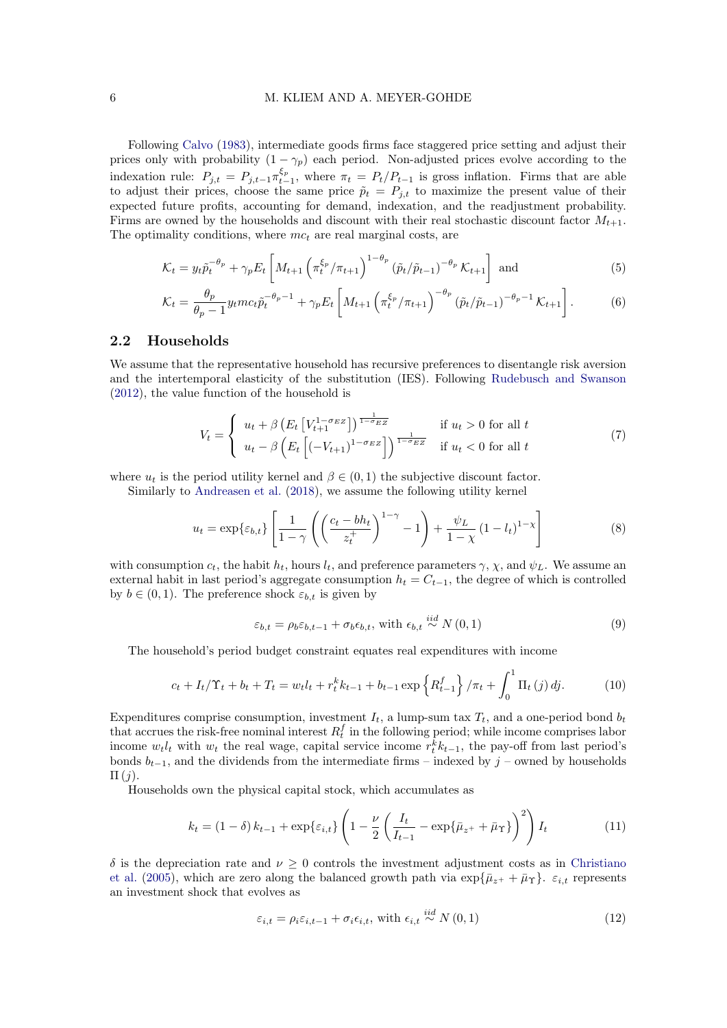#### 6 M. KLIEM AND A. MEYER-GOHDE

Following [Calvo](#page-23-10) [\(1983\)](#page-23-10), intermediate goods firms face staggered price setting and adjust their prices only with probability  $(1 - \gamma_p)$  each period. Non-adjusted prices evolve according to the indexation rule:  $P_{j,t} = P_{j,t-1} \pi_{t-1}^{\xi_p}$ , where  $\pi_t = P_t/P_{t-1}$  is gross inflation. Firms that are able to adjust their prices, choose the same price  $\tilde{p}_t = P_{j,t}$  to maximize the present value of their expected future profits, accounting for demand, indexation, and the readjustment probability. Firms are owned by the households and discount with their real stochastic discount factor  $M_{t+1}$ . The optimality conditions, where  $mc_t$  are real marginal costs, are

$$
\mathcal{K}_t = y_t \tilde{p}_t^{-\theta_p} + \gamma_p E_t \left[ M_{t+1} \left( \pi_t^{\xi_p} / \pi_{t+1} \right)^{1-\theta_p} \left( \tilde{p}_t / \tilde{p}_{t-1} \right)^{-\theta_p} \mathcal{K}_{t+1} \right] \text{ and } (5)
$$

$$
\mathcal{K}_t = \frac{\theta_p}{\theta_p - 1} y_t m c_t \tilde{p}_t^{-\theta_p - 1} + \gamma_p E_t \left[ M_{t+1} \left( \pi_t^{\xi_p} / \pi_{t+1} \right)^{-\theta_p} \left( \tilde{p}_t / \tilde{p}_{t-1} \right)^{-\theta_p - 1} \mathcal{K}_{t+1} \right]. \tag{6}
$$

## 2.2 Households

We assume that the representative household has recursive preferences to disentangle risk aversion and the intertemporal elasticity of the substitution (IES). Following [Rudebusch and Swanson](#page-25-2) [\(2012\)](#page-25-2), the value function of the household is

$$
V_t = \begin{cases} u_t + \beta \left( E_t \left[ V_{t+1}^{1-\sigma_E} z \right] \right)^{\frac{1}{1-\sigma_E} z} & \text{if } u_t > 0 \text{ for all } t \\ u_t - \beta \left( E_t \left[ (-V_{t+1})^{1-\sigma_E} z \right] \right)^{\frac{1}{1-\sigma_E} z} & \text{if } u_t < 0 \text{ for all } t \end{cases}
$$
(7)

where  $u_t$  is the period utility kernel and  $\beta \in (0,1)$  the subjective discount factor.

Similarly to [Andreasen et al.](#page-22-1) [\(2018\)](#page-22-1), we assume the following utility kernel

$$
u_t = \exp\{\varepsilon_{b,t}\} \left[ \frac{1}{1-\gamma} \left( \left( \frac{c_t - bh_t}{z_t^+} \right)^{1-\gamma} - 1 \right) + \frac{\psi_L}{1-\chi} \left( 1 - l_t \right)^{1-\chi} \right] \tag{8}
$$

with consumption  $c_t$ , the habit  $h_t$ , hours  $l_t$ , and preference parameters  $\gamma$ ,  $\chi$ , and  $\psi_L$ . We assume an external habit in last period's aggregate consumption  $h_t = C_{t-1}$ , the degree of which is controlled by  $b \in (0, 1)$ . The preference shock  $\varepsilon_{b,t}$  is given by

$$
\varepsilon_{b,t} = \rho_b \varepsilon_{b,t-1} + \sigma_b \varepsilon_{b,t}, \text{ with } \varepsilon_{b,t} \stackrel{iid}{\sim} N(0,1)
$$
\n
$$
(9)
$$

The household's period budget constraint equates real expenditures with income

$$
c_{t} + I_{t}/\Upsilon_{t} + b_{t} + T_{t} = w_{t}l_{t} + r_{t}^{k}k_{t-1} + b_{t-1}\exp\left\{R_{t-1}^{f}\right\}/\pi_{t} + \int_{0}^{1}\Pi_{t}\left(j\right)dj.
$$
 (10)

Expenditures comprise consumption, investment  $I_t$ , a lump-sum tax  $T_t$ , and a one-period bond  $b_t$ that accrues the risk-free nominal interest  $R_t^f$  in the following period; while income comprises labor income  $w_t l_t$  with  $w_t$  the real wage, capital service income  $r_t^k k_{t-1}$ , the pay-off from last period's bonds  $b_{t-1}$ , and the dividends from the intermediate firms – indexed by j – owned by households  $\Pi(j).$ 

Households own the physical capital stock, which accumulates as

$$
k_t = (1 - \delta) k_{t-1} + \exp\{\varepsilon_{i,t}\} \left( 1 - \frac{\nu}{2} \left( \frac{I_t}{I_{t-1}} - \exp\{\bar{\mu}_{z^+} + \bar{\mu}_\Upsilon\} \right)^2 \right) I_t \tag{11}
$$

δ is the depreciation rate and ν ≥ 0 controls the investment adjustment costs as in [Christiano](#page-23-11) [et al.](#page-23-11) [\(2005\)](#page-23-11), which are zero along the balanced growth path via  $\exp{\{\bar{\mu}_{z^+} + \bar{\mu}_r\}}$ .  $\varepsilon_{i,t}$  represents an investment shock that evolves as

$$
\varepsilon_{i,t} = \rho_i \varepsilon_{i,t-1} + \sigma_i \varepsilon_{i,t}, \text{ with } \varepsilon_{i,t} \stackrel{iid}{\sim} N(0,1)
$$
\n(12)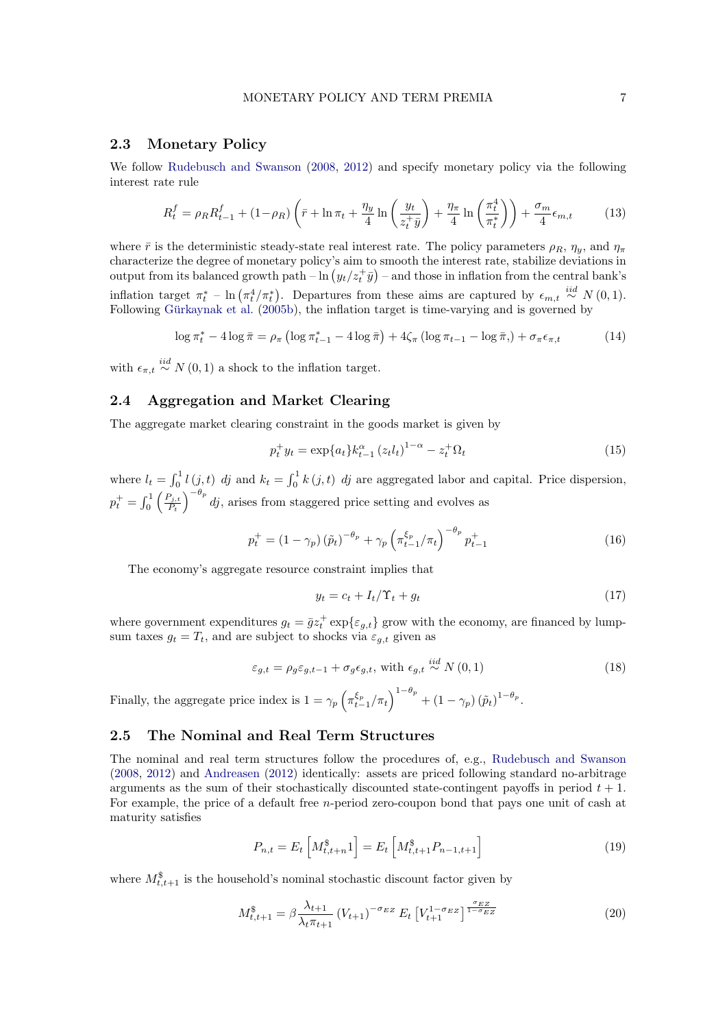## 2.3 Monetary Policy

We follow [Rudebusch and Swanson](#page-25-10) [\(2008,](#page-25-10) [2012\)](#page-25-2) and specify monetary policy via the following interest rate rule

$$
R_t^f = \rho_R R_{t-1}^f + (1 - \rho_R) \left( \bar{r} + \ln \pi_t + \frac{\eta_y}{4} \ln \left( \frac{y_t}{z_t^+ \bar{y}} \right) + \frac{\eta_\pi}{4} \ln \left( \frac{\pi_t^4}{\pi_t^*} \right) \right) + \frac{\sigma_m}{4} \epsilon_{m,t} \tag{13}
$$

where  $\bar{r}$  is the deterministic steady-state real interest rate. The policy parameters  $\rho_R$ ,  $\eta_y$ , and  $\eta_\pi$ characterize the degree of monetary policy's aim to smooth the interest rate, stabilize deviations in output from its balanced growth path  $-\ln(y_t/z_t^+\bar{y})$  – and those in inflation from the central bank's inflation target  $\pi_t^*$  – ln  $(\pi_t^4/\pi_t^*)$ . Departures from these aims are captured by  $\epsilon_{m,t} \stackrel{iid}{\sim} N(0,1)$ . Following Gürkaynak et al. [\(2005b\)](#page-24-13), the inflation target is time-varying and is governed by

$$
\log \pi_t^* - 4\log \bar{\pi} = \rho_\pi \left( \log \pi_{t-1}^* - 4\log \bar{\pi} \right) + 4\zeta_\pi \left( \log \pi_{t-1} - \log \bar{\pi}, \right) + \sigma_\pi \epsilon_{\pi, t} \tag{14}
$$

with  $\epsilon_{\pi,t} \stackrel{iid}{\sim} N(0,1)$  a shock to the inflation target.

# 2.4 Aggregation and Market Clearing

The aggregate market clearing constraint in the goods market is given by

<span id="page-6-1"></span>
$$
p_t^+ y_t = \exp\{a_t\} k_{t-1}^{\alpha} (z_t l_t)^{1-\alpha} - z_t^+ \Omega_t \tag{15}
$$

where  $l_t = \int_0^1 l(j, t)$  dj and  $k_t = \int_0^1 k(j, t)$  dj are aggregated labor and capital. Price dispersion,  $p_t^+ = \int_0^1$  $\bigcap_{j,t}$  $P_t$  $\int_{0}^{-\theta_p}$  dj, arises from staggered price setting and evolves as

$$
p_t^+ = (1 - \gamma_p) (\tilde{p}_t)^{-\theta_p} + \gamma_p \left( \pi_{t-1}^{\xi_p} / \pi_t \right)^{-\theta_p} p_{t-1}^+ \tag{16}
$$

The economy's aggregate resource constraint implies that

$$
y_t = c_t + I_t / \Upsilon_t + g_t \tag{17}
$$

where government expenditures  $g_t = \bar{g}z_t^+ \exp\{\varepsilon_{g,t}\}\$ grow with the economy, are financed by lumpsum taxes  $g_t = T_t$ , and are subject to shocks via  $\varepsilon_{g,t}$  given as

$$
\varepsilon_{g,t} = \rho_g \varepsilon_{g,t-1} + \sigma_g \varepsilon_{g,t}, \text{ with } \varepsilon_{g,t} \stackrel{iid}{\sim} N(0,1)
$$
\n(18)

Finally, the aggregate price index is  $1 = \gamma_p \left( \pi_{t-1}^{\xi_p} / \pi_t \right)^{1-\theta_p} + \left( 1 - \gamma_p \right) (\tilde{p}_t)^{1-\theta_p}$ .

## 2.5 The Nominal and Real Term Structures

The nominal and real term structures follow the procedures of, e.g., [Rudebusch and Swanson](#page-25-10) [\(2008,](#page-25-10) [2012\)](#page-25-2) and [Andreasen](#page-22-4) [\(2012\)](#page-22-4) identically: assets are priced following standard no-arbitrage arguments as the sum of their stochastically discounted state-contingent payoffs in period  $t + 1$ . For example, the price of a default free *n*-period zero-coupon bond that pays one unit of cash at maturity satisfies

<span id="page-6-0"></span>
$$
P_{n,t} = E_t \left[ M_{t,t+n}^{\$} 1 \right] = E_t \left[ M_{t,t+1}^{\$} P_{n-1,t+1} \right] \tag{19}
$$

where  $M^{\$}_{t,t+1}$  is the household's nominal stochastic discount factor given by

$$
M_{t,t+1}^{\$} = \beta \frac{\lambda_{t+1}}{\lambda_t \pi_{t+1}} \left( V_{t+1} \right)^{-\sigma_{EZ}} E_t \left[ V_{t+1}^{1-\sigma_{EZ}} \right]^{\frac{\sigma_{EZ}}{1-\sigma_{EZ}}} \tag{20}
$$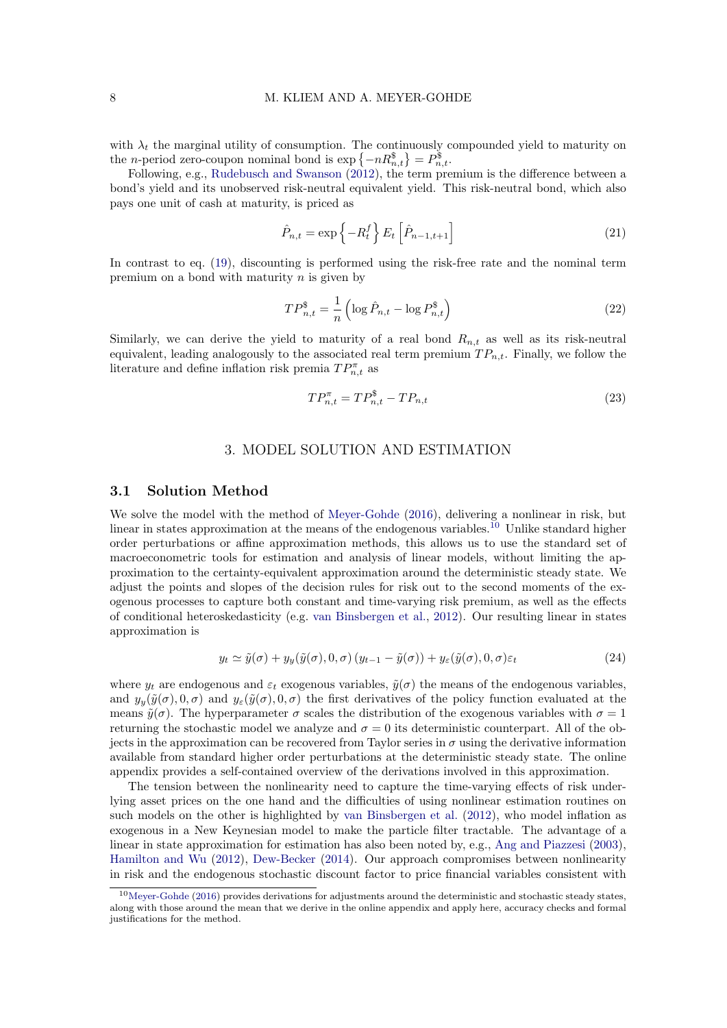with  $\lambda_t$  the marginal utility of consumption. The continuously compounded yield to maturity on the *n*-period zero-coupon nominal bond is  $\exp\{-nR_{n,t}^{\$}\} = P_{n,t}^{\$}$ .

Following, e.g., [Rudebusch and Swanson](#page-25-2) [\(2012\)](#page-25-2), the term premium is the difference between a bond's yield and its unobserved risk-neutral equivalent yield. This risk-neutral bond, which also pays one unit of cash at maturity, is priced as

$$
\hat{P}_{n,t} = \exp\left\{-R_t^f\right\} E_t \left[\hat{P}_{n-1,t+1}\right]
$$
\n(21)

In contrast to eq. [\(19\)](#page-6-0), discounting is performed using the risk-free rate and the nominal term premium on a bond with maturity  $n$  is given by

$$
TP_{n,t}^{\$} = \frac{1}{n} \left( \log \hat{P}_{n,t} - \log P_{n,t}^{\$} \right)
$$
 (22)

Similarly, we can derive the yield to maturity of a real bond  $R_{n,t}$  as well as its risk-neutral equivalent, leading analogously to the associated real term premium  $TP_{n,t}$ . Finally, we follow the literature and define inflation risk premia  $TP_{n,t}^{\pi}$  as

$$
TP_{n,t}^{\pi} = TP_{n,t}^{\mathcal{S}} - TP_{n,t} \tag{23}
$$

## 3. MODEL SOLUTION AND ESTIMATION

#### <span id="page-7-1"></span>3.1 Solution Method

We solve the model with the method of [Meyer-Gohde](#page-25-4) [\(2016\)](#page-25-4), delivering a nonlinear in risk, but linear in states approximation at the means of the endogenous variables.<sup>[10](#page-7-0)</sup> Unlike standard higher order perturbations or affine approximation methods, this allows us to use the standard set of macroeconometric tools for estimation and analysis of linear models, without limiting the approximation to the certainty-equivalent approximation around the deterministic steady state. We adjust the points and slopes of the decision rules for risk out to the second moments of the exogenous processes to capture both constant and time-varying risk premium, as well as the effects of conditional heteroskedasticity (e.g. [van Binsbergen et al.,](#page-26-3) [2012\)](#page-26-3). Our resulting linear in states approximation is

$$
y_t \simeq \tilde{y}(\sigma) + y_y(\tilde{y}(\sigma), 0, \sigma) (y_{t-1} - \tilde{y}(\sigma)) + y_\varepsilon(\tilde{y}(\sigma), 0, \sigma) \varepsilon_t
$$
\n(24)

where  $y_t$  are endogenous and  $\varepsilon_t$  exogenous variables,  $\tilde{y}(\sigma)$  the means of the endogenous variables, and  $y_y(\tilde{y}(\sigma), 0, \sigma)$  and  $y_\varepsilon(\tilde{y}(\sigma), 0, \sigma)$  the first derivatives of the policy function evaluated at the means  $\tilde{y}(\sigma)$ . The hyperparameter  $\sigma$  scales the distribution of the exogenous variables with  $\sigma = 1$ returning the stochastic model we analyze and  $\sigma = 0$  its deterministic counterpart. All of the objects in the approximation can be recovered from Taylor series in  $\sigma$  using the derivative information available from standard higher order perturbations at the deterministic steady state. The online appendix provides a self-contained overview of the derivations involved in this approximation.

The tension between the nonlinearity need to capture the time-varying effects of risk underlying asset prices on the one hand and the difficulties of using nonlinear estimation routines on such models on the other is highlighted by [van Binsbergen et al.](#page-26-3) [\(2012\)](#page-26-3), who model inflation as exogenous in a New Keynesian model to make the particle filter tractable. The advantage of a linear in state approximation for estimation has also been noted by, e.g., [Ang and Piazzesi](#page-22-9) [\(2003\)](#page-22-9), [Hamilton and Wu](#page-25-11) [\(2012\)](#page-25-11), [Dew-Becker](#page-24-7) [\(2014\)](#page-24-7). Our approach compromises between nonlinearity in risk and the endogenous stochastic discount factor to price financial variables consistent with

<span id="page-7-0"></span> $10$ [Meyer-Gohde](#page-25-4) [\(2016\)](#page-25-4) provides derivations for adjustments around the deterministic and stochastic steady states, along with those around the mean that we derive in the online appendix and apply here, accuracy checks and formal justifications for the method.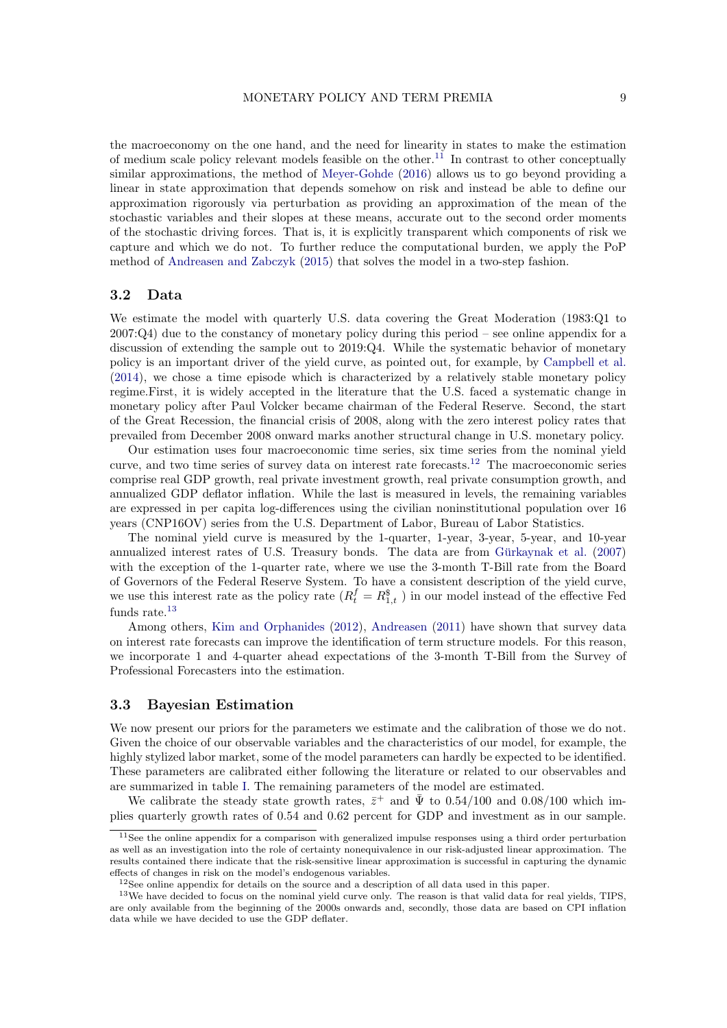the macroeconomy on the one hand, and the need for linearity in states to make the estimation of medium scale policy relevant models feasible on the other.<sup>[11](#page-8-0)</sup> In contrast to other conceptually similar approximations, the method of [Meyer-Gohde](#page-25-4) [\(2016\)](#page-25-4) allows us to go beyond providing a linear in state approximation that depends somehow on risk and instead be able to define our approximation rigorously via perturbation as providing an approximation of the mean of the stochastic variables and their slopes at these means, accurate out to the second order moments of the stochastic driving forces. That is, it is explicitly transparent which components of risk we capture and which we do not. To further reduce the computational burden, we apply the PoP method of [Andreasen and Zabczyk](#page-22-10) [\(2015\)](#page-22-10) that solves the model in a two-step fashion.

#### 3.2 Data

We estimate the model with quarterly U.S. data covering the Great Moderation (1983:Q1 to  $2007:Q4$  due to the constancy of monetary policy during this period – see online appendix for a discussion of extending the sample out to 2019:Q4. While the systematic behavior of monetary policy is an important driver of the yield curve, as pointed out, for example, by [Campbell et al.](#page-23-12) [\(2014\)](#page-23-12), we chose a time episode which is characterized by a relatively stable monetary policy regime.First, it is widely accepted in the literature that the U.S. faced a systematic change in monetary policy after Paul Volcker became chairman of the Federal Reserve. Second, the start of the Great Recession, the financial crisis of 2008, along with the zero interest policy rates that prevailed from December 2008 onward marks another structural change in U.S. monetary policy.

Our estimation uses four macroeconomic time series, six time series from the nominal yield curve, and two time series of survey data on interest rate forecasts.[12](#page-8-1) The macroeconomic series comprise real GDP growth, real private investment growth, real private consumption growth, and annualized GDP deflator inflation. While the last is measured in levels, the remaining variables are expressed in per capita log-differences using the civilian noninstitutional population over 16 years (CNP16OV) series from the U.S. Department of Labor, Bureau of Labor Statistics.

The nominal yield curve is measured by the 1-quarter, 1-year, 3-year, 5-year, and 10-year annualized interest rates of U.S. Treasury bonds. The data are from Gürkaynak et al.  $(2007)$ with the exception of the 1-quarter rate, where we use the 3-month T-Bill rate from the Board of Governors of the Federal Reserve System. To have a consistent description of the yield curve, we use this interest rate as the policy rate  $(R_t^f = R_{1,t}^{\$})$  in our model instead of the effective Fed funds rate. $^{13}$  $^{13}$  $^{13}$ 

Among others, [Kim and Orphanides](#page-25-12) [\(2012\)](#page-25-12), [Andreasen](#page-22-2) [\(2011\)](#page-22-2) have shown that survey data on interest rate forecasts can improve the identification of term structure models. For this reason, we incorporate 1 and 4-quarter ahead expectations of the 3-month T-Bill from the Survey of Professional Forecasters into the estimation.

#### 3.3 Bayesian Estimation

We now present our priors for the parameters we estimate and the calibration of those we do not. Given the choice of our observable variables and the characteristics of our model, for example, the highly stylized labor market, some of the model parameters can hardly be expected to be identified. These parameters are calibrated either following the literature or related to our observables and are summarized in table [I.](#page-9-0) The remaining parameters of the model are estimated.

We calibrate the steady state growth rates,  $\bar{z}^+$  and  $\bar{\Psi}$  to 0.54/100 and 0.08/100 which implies quarterly growth rates of 0.54 and 0.62 percent for GDP and investment as in our sample.

<span id="page-8-0"></span> $11$ See the online appendix for a comparison with generalized impulse responses using a third order perturbation as well as an investigation into the role of certainty nonequivalence in our risk-adjusted linear approximation. The results contained there indicate that the risk-sensitive linear approximation is successful in capturing the dynamic effects of changes in risk on the model's endogenous variables.

<span id="page-8-2"></span><span id="page-8-1"></span> $12$ See online appendix for details on the source and a description of all data used in this paper.

<sup>&</sup>lt;sup>13</sup>We have decided to focus on the nominal yield curve only. The reason is that valid data for real yields, TIPS, are only available from the beginning of the 2000s onwards and, secondly, those data are based on CPI inflation data while we have decided to use the GDP deflater.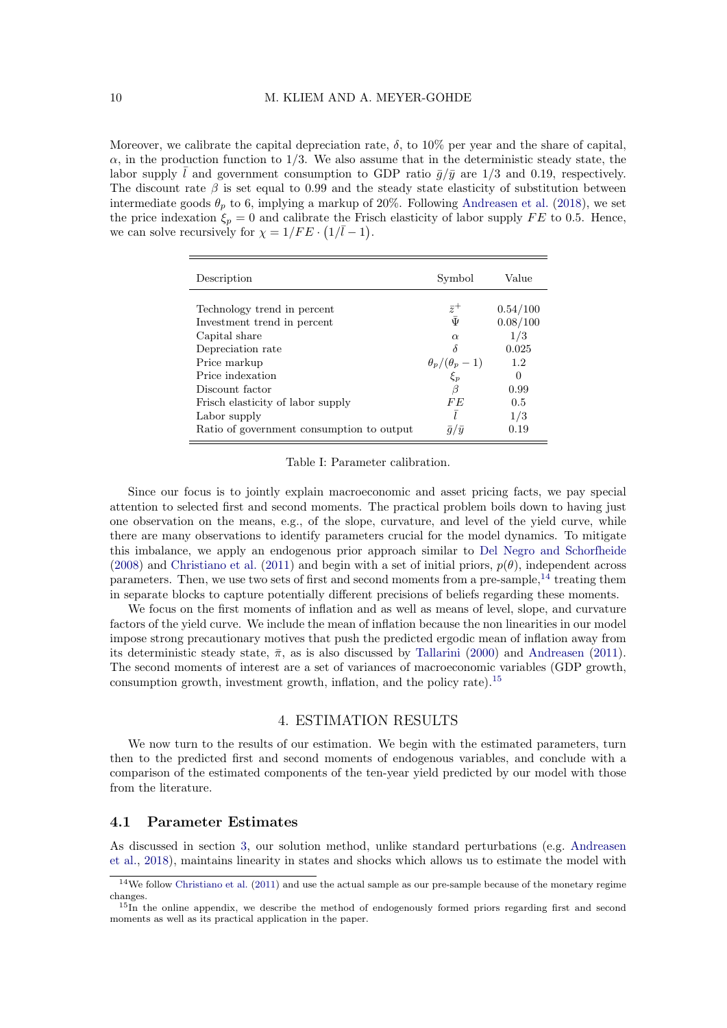Moreover, we calibrate the capital depreciation rate,  $\delta$ , to 10% per year and the share of capital,  $\alpha$ , in the production function to 1/3. We also assume that in the deterministic steady state, the labor supply  $\bar{l}$  and government consumption to GDP ratio  $\bar{q}/\bar{y}$  are 1/3 and 0.19, respectively. The discount rate  $\beta$  is set equal to 0.99 and the steady state elasticity of substitution between intermediate goods  $\theta_p$  to 6, implying a markup of 20%. Following [Andreasen et al.](#page-22-1) [\(2018\)](#page-22-1), we set the price indexation  $\xi_p = 0$  and calibrate the Frisch elasticity of labor supply FE to 0.5. Hence, we can solve recursively for  $\chi = 1/FE \cdot (1/\overline{l} - 1)$ .

<span id="page-9-0"></span>

| Description                               | Symbol                  | Value    |
|-------------------------------------------|-------------------------|----------|
|                                           |                         |          |
| Technology trend in percent               | $\bar{z}^+$             | 0.54/100 |
| Investment trend in percent               | $\bar{\Psi}$            | 0.08/100 |
| Capital share                             | $\alpha$                | 1/3      |
| Depreciation rate                         | δ                       | 0.025    |
| Price markup                              | $\theta_p/(\theta_p-1)$ | 1.2      |
| Price indexation                          | $\xi_p$                 | $\theta$ |
| Discount factor                           | ß                       | 0.99     |
| Frisch elasticity of labor supply         | FE                      | 0.5      |
| Labor supply                              |                         | 1/3      |
| Ratio of government consumption to output | $\bar{q}/\bar{y}$       | 0.19     |

Table I: Parameter calibration.

Since our focus is to jointly explain macroeconomic and asset pricing facts, we pay special attention to selected first and second moments. The practical problem boils down to having just one observation on the means, e.g., of the slope, curvature, and level of the yield curve, while there are many observations to identify parameters crucial for the model dynamics. To mitigate this imbalance, we apply an endogenous prior approach similar to [Del Negro and Schorfheide](#page-24-16) [\(2008\)](#page-24-16) and [Christiano et al.](#page-23-13) [\(2011\)](#page-23-13) and begin with a set of initial priors,  $p(\theta)$ , independent across parameters. Then, we use two sets of first and second moments from a pre-sample,  $^{14}$  $^{14}$  $^{14}$  treating them in separate blocks to capture potentially different precisions of beliefs regarding these moments.

We focus on the first moments of inflation and as well as means of level, slope, and curvature factors of the yield curve. We include the mean of inflation because the non linearities in our model impose strong precautionary motives that push the predicted ergodic mean of inflation away from its deterministic steady state,  $\bar{\pi}$ , as is also discussed by [Tallarini](#page-26-7) [\(2000\)](#page-26-7) and [Andreasen](#page-22-2) [\(2011\)](#page-22-2). The second moments of interest are a set of variances of macroeconomic variables (GDP growth, consumption growth, investment growth, inflation, and the policy rate).[15](#page-9-2)

## 4. ESTIMATION RESULTS

We now turn to the results of our estimation. We begin with the estimated parameters, turn then to the predicted first and second moments of endogenous variables, and conclude with a comparison of the estimated components of the ten-year yield predicted by our model with those from the literature.

#### 4.1 Parameter Estimates

As discussed in section [3,](#page-7-1) our solution method, unlike standard perturbations (e.g. [Andreasen](#page-22-1) [et al.,](#page-22-1) [2018\)](#page-22-1), maintains linearity in states and shocks which allows us to estimate the model with

<span id="page-9-1"></span><sup>14</sup>We follow [Christiano et al.](#page-23-13) [\(2011\)](#page-23-13) and use the actual sample as our pre-sample because of the monetary regime changes.

<span id="page-9-2"></span><sup>&</sup>lt;sup>15</sup>In the online appendix, we describe the method of endogenously formed priors regarding first and second moments as well as its practical application in the paper.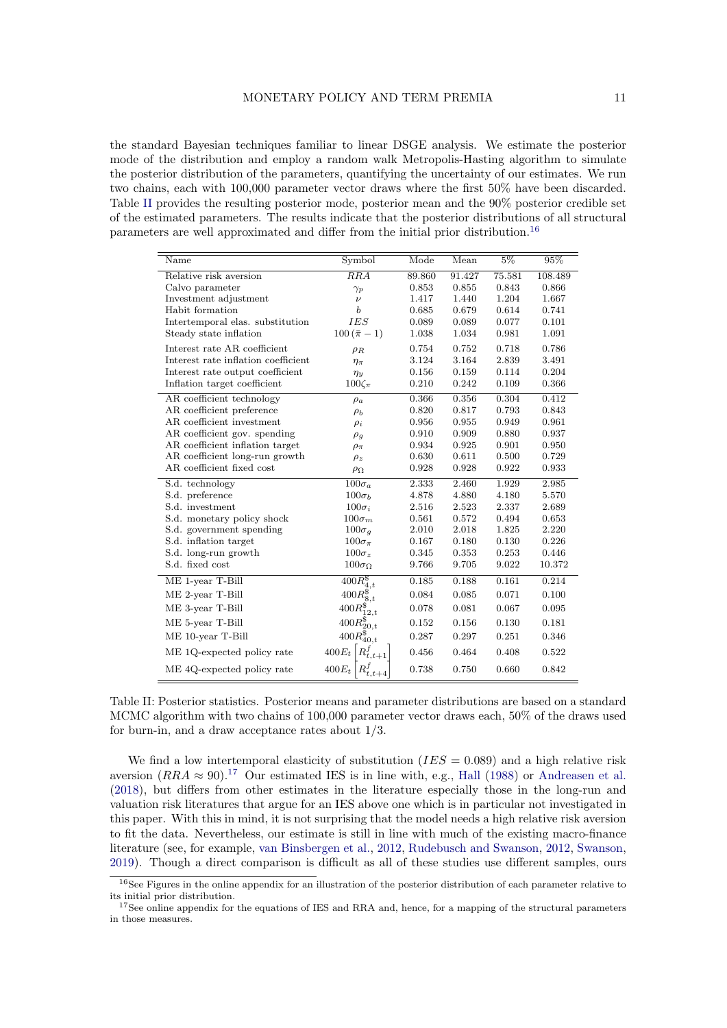the standard Bayesian techniques familiar to linear DSGE analysis. We estimate the posterior mode of the distribution and employ a random walk Metropolis-Hasting algorithm to simulate the posterior distribution of the parameters, quantifying the uncertainty of our estimates. We run two chains, each with 100,000 parameter vector draws where the first 50% have been discarded. Table [II](#page-10-0) provides the resulting posterior mode, posterior mean and the 90% posterior credible set of the estimated parameters. The results indicate that the posterior distributions of all structural parameters are well approximated and differ from the initial prior distribution.[16](#page-10-1)

<span id="page-10-0"></span>

| Name                                | Symbol                    | Mode   | Mean   | $5\%$  | 95%     |
|-------------------------------------|---------------------------|--------|--------|--------|---------|
| Relative risk aversion              | $\overline{RRA}$          | 89.860 | 91.427 | 75.581 | 108.489 |
| Calvo parameter                     | $\gamma_p$                | 0.853  | 0.855  | 0.843  | 0.866   |
| Investment adjustment               | $\nu$                     | 1.417  | 1.440  | 1.204  | 1.667   |
| Habit formation                     | b                         | 0.685  | 0.679  | 0.614  | 0.741   |
| Intertemporal elas. substitution    | <b>IES</b>                | 0.089  | 0.089  | 0.077  | 0.101   |
| Steady state inflation              | $100(\bar{\pi}-1)$        | 1.038  | 1.034  | 0.981  | 1.091   |
| Interest rate AR coefficient        | $\rho_R$                  | 0.754  | 0.752  | 0.718  | 0.786   |
| Interest rate inflation coefficient | $\eta_{\pi}$              | 3.124  | 3.164  | 2.839  | 3.491   |
| Interest rate output coefficient    | $\eta_{y}$                | 0.156  | 0.159  | 0.114  | 0.204   |
| Inflation target coefficient        | $100\zeta_{\pi}$          | 0.210  | 0.242  | 0.109  | 0.366   |
| AR coefficient technology           | $\rho_a$                  | 0.366  | 0.356  | 0.304  | 0.412   |
| AR coefficient preference           | $\rho_b$                  | 0.820  | 0.817  | 0.793  | 0.843   |
| AR coefficient investment           | $\rho_i$                  | 0.956  | 0.955  | 0.949  | 0.961   |
| AR coefficient gov. spending        | $\rho_g$                  | 0.910  | 0.909  | 0.880  | 0.937   |
| AR coefficient inflation target     | $\rho_{\pi}$              | 0.934  | 0.925  | 0.901  | 0.950   |
| AR coefficient long-run growth      | $\rho_z$                  | 0.630  | 0.611  | 0.500  | 0.729   |
| AR coefficient fixed cost           | $\rho_{\Omega}$           | 0.928  | 0.928  | 0.922  | 0.933   |
| S.d. technology                     | $100\sigma_a$             | 2.333  | 2.460  | 1.929  | 2.985   |
| S.d. preference                     | $100\sigma_b$             | 4.878  | 4.880  | 4.180  | 5.570   |
| S.d. investment                     | $100\sigma_i$             | 2.516  | 2.523  | 2.337  | 2.689   |
| S.d. monetary policy shock          | $100\sigma_m$             | 0.561  | 0.572  | 0.494  | 0.653   |
| S.d. government spending            | $100\sigma_q$             | 2.010  | 2.018  | 1.825  | 2.220   |
| S.d. inflation target               | $100\sigma_{\pi}$         | 0.167  | 0.180  | 0.130  | 0.226   |
| S.d. long-run growth                | $100\sigma_z$             | 0.345  | 0.353  | 0.253  | 0.446   |
| S.d. fixed cost                     | $100\sigma_{\Omega}$      | 9.766  | 9.705  | 9.022  | 10.372  |
| ME 1-year T-Bill                    | $\overline{400R_{4,t}^8}$ | 0.185  | 0.188  | 0.161  | 0.214   |
| ME 2-year T-Bill                    | $400R_{8,t}^{\$}$         | 0.084  | 0.085  | 0.071  | 0.100   |
| ME 3-year T-Bill                    | $400R_{12,t}^{\$}$        | 0.078  | 0.081  | 0.067  | 0.095   |
| ME 5-year T-Bill                    | $400R_{20,t}^{\$}$        | 0.152  | 0.156  | 0.130  | 0.181   |
| ME 10-year T-Bill                   | $400R_{40,t}^{\$}$        | 0.287  | 0.297  | 0.251  | 0.346   |
| ME 1Q-expected policy rate          | $400E_t$                  | 0.456  | 0.464  | 0.408  | 0.522   |
| ME 4Q-expected policy rate          | $400E_t$                  | 0.738  | 0.750  | 0.660  | 0.842   |

Table II: Posterior statistics. Posterior means and parameter distributions are based on a standard MCMC algorithm with two chains of 100,000 parameter vector draws each, 50% of the draws used for burn-in, and a draw acceptance rates about 1/3.

We find a low intertemporal elasticity of substitution  $(IES = 0.089)$  and a high relative risk aversion  $(RRA \approx 90)^{17}$  $(RRA \approx 90)^{17}$  $(RRA \approx 90)^{17}$  Our estimated IES is in line with, e.g., [Hall](#page-25-13) [\(1988\)](#page-25-13) or [Andreasen et al.](#page-22-1) [\(2018\)](#page-22-1), but differs from other estimates in the literature especially those in the long-run and valuation risk literatures that argue for an IES above one which is in particular not investigated in this paper. With this in mind, it is not surprising that the model needs a high relative risk aversion to fit the data. Nevertheless, our estimate is still in line with much of the existing macro-finance literature (see, for example, [van Binsbergen et al.,](#page-26-3) [2012,](#page-26-3) [Rudebusch and Swanson,](#page-25-2) [2012,](#page-25-2) [Swanson,](#page-26-2) [2019\)](#page-26-2). Though a direct comparison is difficult as all of these studies use different samples, ours

<span id="page-10-1"></span><sup>16</sup>See Figures in the online appendix for an illustration of the posterior distribution of each parameter relative to its initial prior distribution.

<span id="page-10-2"></span><sup>&</sup>lt;sup>17</sup>See online appendix for the equations of IES and RRA and, hence, for a mapping of the structural parameters in those measures.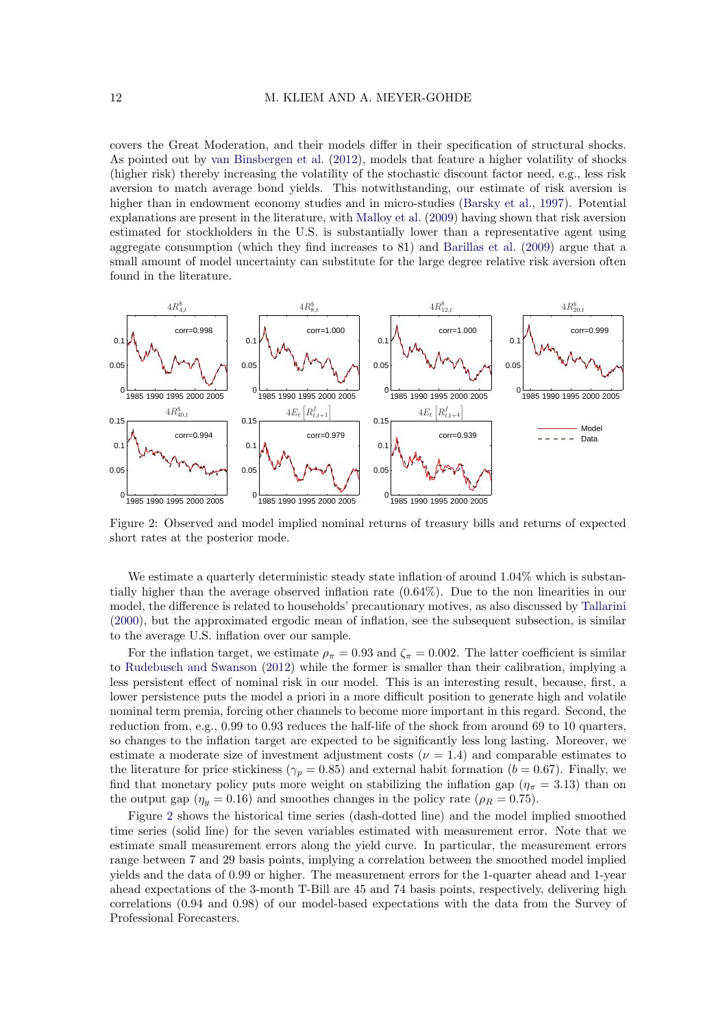covers the Great Moderation, and their models differ in their specification of structural shocks. As pointed out by [van Binsbergen et al.](#page-26-3) [\(2012\)](#page-26-3), models that feature a higher volatility of shocks (higher risk) thereby increasing the volatility of the stochastic discount factor need, e.g., less risk aversion to match average bond yields. This notwithstanding, our estimate of risk aversion is higher than in endowment economy studies and in micro-studies [\(Barsky et al.,](#page-23-14) [1997\)](#page-23-14). Potential explanations are present in the literature, with [Malloy et al.](#page-25-14) [\(2009\)](#page-25-14) having shown that risk aversion estimated for stockholders in the U.S. is substantially lower than a representative agent using aggregate consumption (which they find increases to 81) and [Barillas et al.](#page-23-15) [\(2009\)](#page-23-15) argue that a small amount of model uncertainty can substitute for the large degree relative risk aversion often found in the literature.

<span id="page-11-0"></span>

Figure 2: Observed and model implied nominal returns of treasury bills and returns of expected short rates at the posterior mode.

We estimate a quarterly deterministic steady state inflation of around 1.04% which is substantially higher than the average observed inflation rate (0.64%). Due to the non linearities in our model, the difference is related to households' precautionary motives, as also discussed by [Tallarini](#page-26-7) [\(2000\)](#page-26-7), but the approximated ergodic mean of inflation, see the subsequent subsection, is similar to the average U.S. inflation over our sample.

For the inflation target, we estimate  $\rho_{\pi} = 0.93$  and  $\zeta_{\pi} = 0.002$ . The latter coefficient is similar to [Rudebusch and Swanson](#page-25-2) [\(2012\)](#page-25-2) while the former is smaller than their calibration, implying a less persistent effect of nominal risk in our model. This is an interesting result, because, first, a lower persistence puts the model a priori in a more difficult position to generate high and volatile nominal term premia, forcing other channels to become more important in this regard. Second, the reduction from, e.g., 0.99 to 0.93 reduces the half-life of the shock from around 69 to 10 quarters, so changes to the inflation target are expected to be significantly less long lasting. Moreover, we estimate a moderate size of investment adjustment costs ( $\nu = 1.4$ ) and comparable estimates to the literature for price stickiness ( $\gamma_p = 0.85$ ) and external habit formation ( $b = 0.67$ ). Finally, we find that monetary policy puts more weight on stabilizing the inflation gap ( $\eta_{\pi} = 3.13$ ) than on the output gap ( $\eta_y = 0.16$ ) and smoothes changes in the policy rate ( $\rho_R = 0.75$ ).

Figure [2](#page-11-0) shows the historical time series (dash-dotted line) and the model implied smoothed time series (solid line) for the seven variables estimated with measurement error. Note that we estimate small measurement errors along the yield curve. In particular, the measurement errors range between 7 and 29 basis points, implying a correlation between the smoothed model implied yields and the data of 0.99 or higher. The measurement errors for the 1-quarter ahead and 1-year ahead expectations of the 3-month T-Bill are 45 and 74 basis points, respectively, delivering high correlations (0.94 and 0.98) of our model-based expectations with the data from the Survey of Professional Forecasters.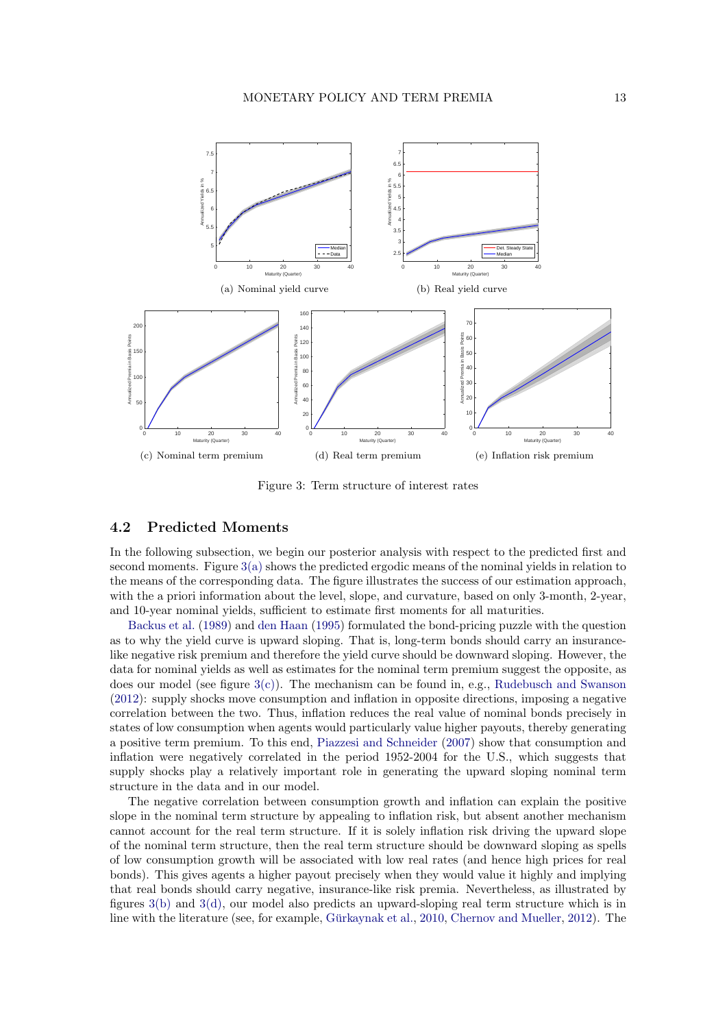<span id="page-12-1"></span><span id="page-12-0"></span>

<span id="page-12-4"></span><span id="page-12-3"></span><span id="page-12-2"></span>Figure 3: Term structure of interest rates

# 4.2 Predicted Moments

In the following subsection, we begin our posterior analysis with respect to the predicted first and second moments. Figure [3\(a\)](#page-12-0) shows the predicted ergodic means of the nominal yields in relation to the means of the corresponding data. The figure illustrates the success of our estimation approach, with the a priori information about the level, slope, and curvature, based on only 3-month, 2-year, and 10-year nominal yields, sufficient to estimate first moments for all maturities.

[Backus et al.](#page-22-11) [\(1989\)](#page-22-11) and [den Haan](#page-24-17) [\(1995\)](#page-24-17) formulated the bond-pricing puzzle with the question as to why the yield curve is upward sloping. That is, long-term bonds should carry an insurancelike negative risk premium and therefore the yield curve should be downward sloping. However, the data for nominal yields as well as estimates for the nominal term premium suggest the opposite, as does our model (see figure [3\(c\)\)](#page-12-1). The mechanism can be found in, e.g., [Rudebusch and Swanson](#page-25-2) [\(2012\)](#page-25-2): supply shocks move consumption and inflation in opposite directions, imposing a negative correlation between the two. Thus, inflation reduces the real value of nominal bonds precisely in states of low consumption when agents would particularly value higher payouts, thereby generating a positive term premium. To this end, [Piazzesi and Schneider](#page-25-3) [\(2007\)](#page-25-3) show that consumption and inflation were negatively correlated in the period 1952-2004 for the U.S., which suggests that supply shocks play a relatively important role in generating the upward sloping nominal term structure in the data and in our model.

The negative correlation between consumption growth and inflation can explain the positive slope in the nominal term structure by appealing to inflation risk, but absent another mechanism cannot account for the real term structure. If it is solely inflation risk driving the upward slope of the nominal term structure, then the real term structure should be downward sloping as spells of low consumption growth will be associated with low real rates (and hence high prices for real bonds). This gives agents a higher payout precisely when they would value it highly and implying that real bonds should carry negative, insurance-like risk premia. Nevertheless, as illustrated by figures [3\(b\)](#page-12-2) and [3\(d\),](#page-12-3) our model also predicts an upward-sloping real term structure which is in line with the literature (see, for example, Gürkaynak et al.,  $2010$ , [Chernov and Mueller,](#page-23-3)  $2012$ ). The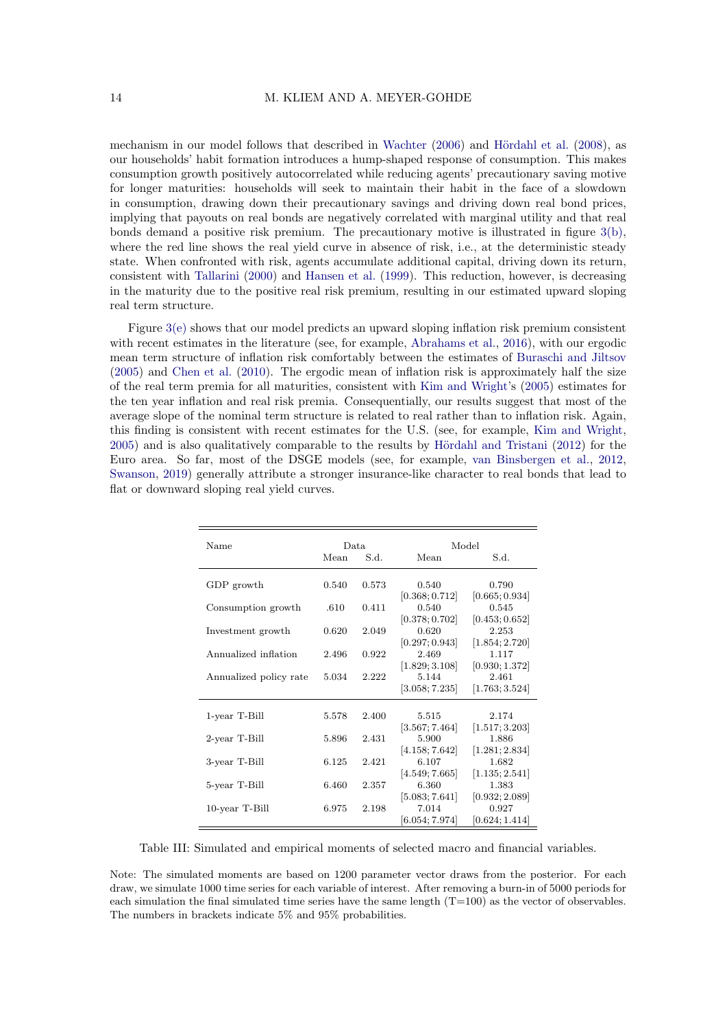mechanism in our model follows that described in [Wachter](#page-26-0)  $(2006)$  and Hördahl et al.  $(2008)$ , as our households' habit formation introduces a hump-shaped response of consumption. This makes consumption growth positively autocorrelated while reducing agents' precautionary saving motive for longer maturities: households will seek to maintain their habit in the face of a slowdown in consumption, drawing down their precautionary savings and driving down real bond prices, implying that payouts on real bonds are negatively correlated with marginal utility and that real bonds demand a positive risk premium. The precautionary motive is illustrated in figure [3\(b\),](#page-12-2) where the red line shows the real yield curve in absence of risk, i.e., at the deterministic steady state. When confronted with risk, agents accumulate additional capital, driving down its return, consistent with [Tallarini](#page-26-7) [\(2000\)](#page-26-7) and [Hansen et al.](#page-25-15) [\(1999\)](#page-25-15). This reduction, however, is decreasing in the maturity due to the positive real risk premium, resulting in our estimated upward sloping real term structure.

Figure [3\(e\)](#page-12-4) shows that our model predicts an upward sloping inflation risk premium consistent with recent estimates in the literature (see, for example, [Abrahams et al.,](#page-22-6) [2016\)](#page-22-6), with our ergodic mean term structure of inflation risk comfortably between the estimates of [Buraschi and Jiltsov](#page-23-16) [\(2005\)](#page-23-16) and [Chen et al.](#page-23-17) [\(2010\)](#page-23-17). The ergodic mean of inflation risk is approximately half the size of the real term premia for all maturities, consistent with [Kim and Wright'](#page-25-5)s [\(2005\)](#page-25-5) estimates for the ten year inflation and real risk premia. Consequentially, our results suggest that most of the average slope of the nominal term structure is related to real rather than to inflation risk. Again, this finding is consistent with recent estimates for the U.S. (see, for example, [Kim and Wright,](#page-25-5)  $2005$ ) and is also qualitatively comparable to the results by Hördahl and Tristani [\(2012\)](#page-25-16) for the Euro area. So far, most of the DSGE models (see, for example, [van Binsbergen et al.,](#page-26-3) [2012,](#page-26-3) [Swanson,](#page-26-2) [2019\)](#page-26-2) generally attribute a stronger insurance-like character to real bonds that lead to flat or downward sloping real yield curves.

<span id="page-13-0"></span>

| Name                   | Data. |       | Model                      |                |  |  |
|------------------------|-------|-------|----------------------------|----------------|--|--|
|                        | Mean  | S.d.  | Mean                       | S.d.           |  |  |
| GDP growth             | 0.540 | 0.573 | 0.540                      | 0.790          |  |  |
|                        |       |       | [0.368; 0.712]             | [0.665; 0.934] |  |  |
| Consumption growth     | .610  | 0.411 | 0.540                      | 0.545          |  |  |
|                        |       |       | [0.378; 0.702]             | [0.453; 0.652] |  |  |
| Investment growth      | 0.620 | 2.049 | 0.620                      | 2.253          |  |  |
|                        |       |       | [0.297; 0.943]             | [1.854; 2.720] |  |  |
| Annualized inflation   | 2.496 | 0.922 | 2.469                      | 1.117          |  |  |
|                        |       |       | [1.829; 3.108]             | [0.930; 1.372] |  |  |
| Annualized policy rate | 5.034 | 2.222 | 5.144                      | 2.461          |  |  |
|                        |       |       | [3.058; 7.235]             | [1.763; 3.524] |  |  |
|                        |       |       |                            |                |  |  |
| 1-year T-Bill          | 5.578 | 2.400 | 5.515                      | 2.174          |  |  |
|                        |       |       | $\left[3.567;7.464\right]$ | [1.517; 3.203] |  |  |
| 2-year T-Bill          | 5.896 | 2.431 | 5.900                      | 1.886          |  |  |
|                        |       |       | [4.158; 7.642]             | [1.281; 2.834] |  |  |
| 3-year T-Bill          | 6.125 | 2.421 | 6.107                      | 1.682          |  |  |
|                        |       |       | [4.549; 7.665]             | [1.135; 2.541] |  |  |
| 5-year T-Bill          | 6.460 | 2.357 | 6.360                      | 1.383          |  |  |
|                        |       |       | [5.083; 7.641]             | [0.932; 2.089] |  |  |
| $10$ -year T-Bill      | 6.975 | 2.198 | 7.014                      | 0.927          |  |  |
|                        |       |       | [6.054; 7.974]             | [0.624; 1.414] |  |  |

Table III: Simulated and empirical moments of selected macro and financial variables.

Note: The simulated moments are based on 1200 parameter vector draws from the posterior. For each draw, we simulate 1000 time series for each variable of interest. After removing a burn-in of 5000 periods for each simulation the final simulated time series have the same length  $(T=100)$  as the vector of observables. The numbers in brackets indicate 5% and 95% probabilities.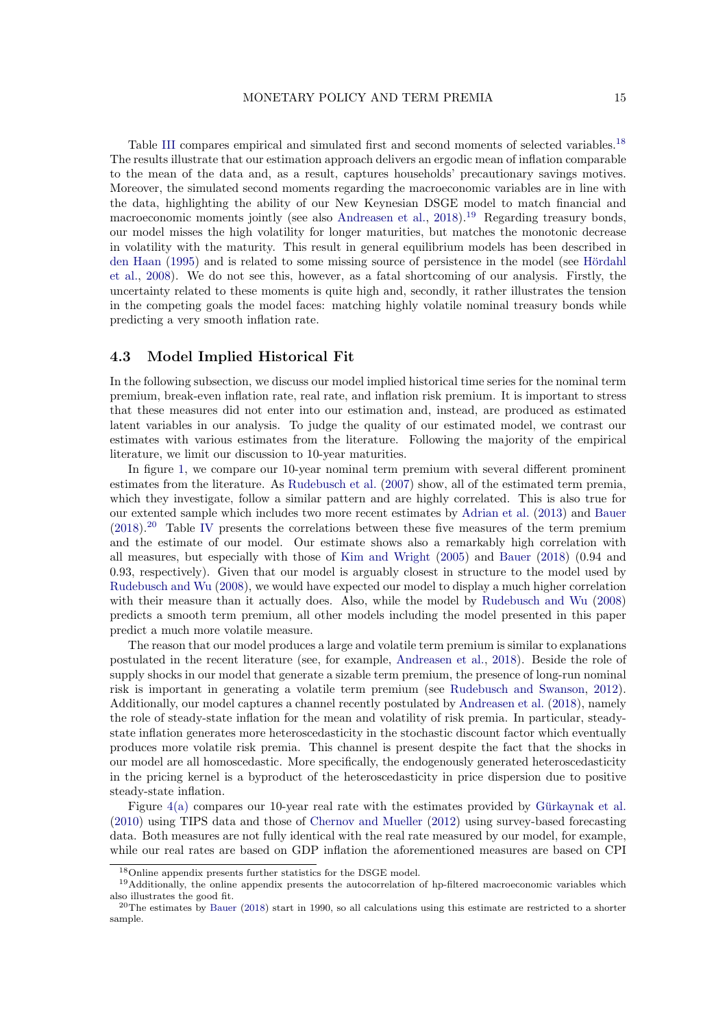Table [III](#page-13-0) compares empirical and simulated first and second moments of selected variables.<sup>[18](#page-14-0)</sup> The results illustrate that our estimation approach delivers an ergodic mean of inflation comparable to the mean of the data and, as a result, captures households' precautionary savings motives. Moreover, the simulated second moments regarding the macroeconomic variables are in line with the data, highlighting the ability of our New Keynesian DSGE model to match financial and macroeconomic moments jointly (see also [Andreasen et al.,](#page-22-1) [2018\)](#page-22-1).<sup>[19](#page-14-1)</sup> Regarding treasury bonds, our model misses the high volatility for longer maturities, but matches the monotonic decrease in volatility with the maturity. This result in general equilibrium models has been described in [den Haan](#page-24-17) [\(1995\)](#page-24-17) and is related to some missing source of persistence in the model (see Hördahl [et al.,](#page-25-6) [2008\)](#page-25-6). We do not see this, however, as a fatal shortcoming of our analysis. Firstly, the uncertainty related to these moments is quite high and, secondly, it rather illustrates the tension in the competing goals the model faces: matching highly volatile nominal treasury bonds while predicting a very smooth inflation rate.

#### 4.3 Model Implied Historical Fit

In the following subsection, we discuss our model implied historical time series for the nominal term premium, break-even inflation rate, real rate, and inflation risk premium. It is important to stress that these measures did not enter into our estimation and, instead, are produced as estimated latent variables in our analysis. To judge the quality of our estimated model, we contrast our estimates with various estimates from the literature. Following the majority of the empirical literature, we limit our discussion to 10-year maturities.

In figure [1,](#page-2-0) we compare our 10-year nominal term premium with several different prominent estimates from the literature. As [Rudebusch et al.](#page-25-1) [\(2007\)](#page-25-1) show, all of the estimated term premia, which they investigate, follow a similar pattern and are highly correlated. This is also true for our extented sample which includes two more recent estimates by [Adrian et al.](#page-22-3) [\(2013\)](#page-22-3) and [Bauer](#page-23-6)  $(2018).^{20}$  $(2018).^{20}$  $(2018).^{20}$  $(2018).^{20}$  Table [IV](#page-15-0) presents the correlations between these five measures of the term premium and the estimate of our model. Our estimate shows also a remarkably high correlation with all measures, but especially with those of [Kim and Wright](#page-25-5) [\(2005\)](#page-25-5) and [Bauer](#page-23-6) [\(2018\)](#page-23-6) (0.94 and 0.93, respectively). Given that our model is arguably closest in structure to the model used by [Rudebusch and Wu](#page-26-4) [\(2008\)](#page-26-4), we would have expected our model to display a much higher correlation with their measure than it actually does. Also, while the model by [Rudebusch and Wu](#page-26-4) [\(2008\)](#page-26-4) predicts a smooth term premium, all other models including the model presented in this paper predict a much more volatile measure.

The reason that our model produces a large and volatile term premium is similar to explanations postulated in the recent literature (see, for example, [Andreasen et al.,](#page-22-1) [2018\)](#page-22-1). Beside the role of supply shocks in our model that generate a sizable term premium, the presence of long-run nominal risk is important in generating a volatile term premium (see [Rudebusch and Swanson,](#page-25-2) [2012\)](#page-25-2). Additionally, our model captures a channel recently postulated by [Andreasen et al.](#page-22-1) [\(2018\)](#page-22-1), namely the role of steady-state inflation for the mean and volatility of risk premia. In particular, steadystate inflation generates more heteroscedasticity in the stochastic discount factor which eventually produces more volatile risk premia. This channel is present despite the fact that the shocks in our model are all homoscedastic. More specifically, the endogenously generated heteroscedasticity in the pricing kernel is a byproduct of the heteroscedasticity in price dispersion due to positive steady-state inflation.

Figure [4\(a\)](#page-15-1) compares our 10-year real rate with the estimates provided by Gürkaynak et al. [\(2010\)](#page-24-3) using TIPS data and those of [Chernov and Mueller](#page-23-3) [\(2012\)](#page-23-3) using survey-based forecasting data. Both measures are not fully identical with the real rate measured by our model, for example, while our real rates are based on GDP inflation the aforementioned measures are based on CPI

<span id="page-14-1"></span><span id="page-14-0"></span><sup>18</sup>Online appendix presents further statistics for the DSGE model.

<sup>&</sup>lt;sup>19</sup>Additionally, the online appendix presents the autocorrelation of hp-filtered macroeconomic variables which also illustrates the good fit.

<span id="page-14-2"></span> $^{20}$ The estimates by [Bauer](#page-23-6) [\(2018\)](#page-23-6) start in 1990, so all calculations using this estimate are restricted to a shorter sample.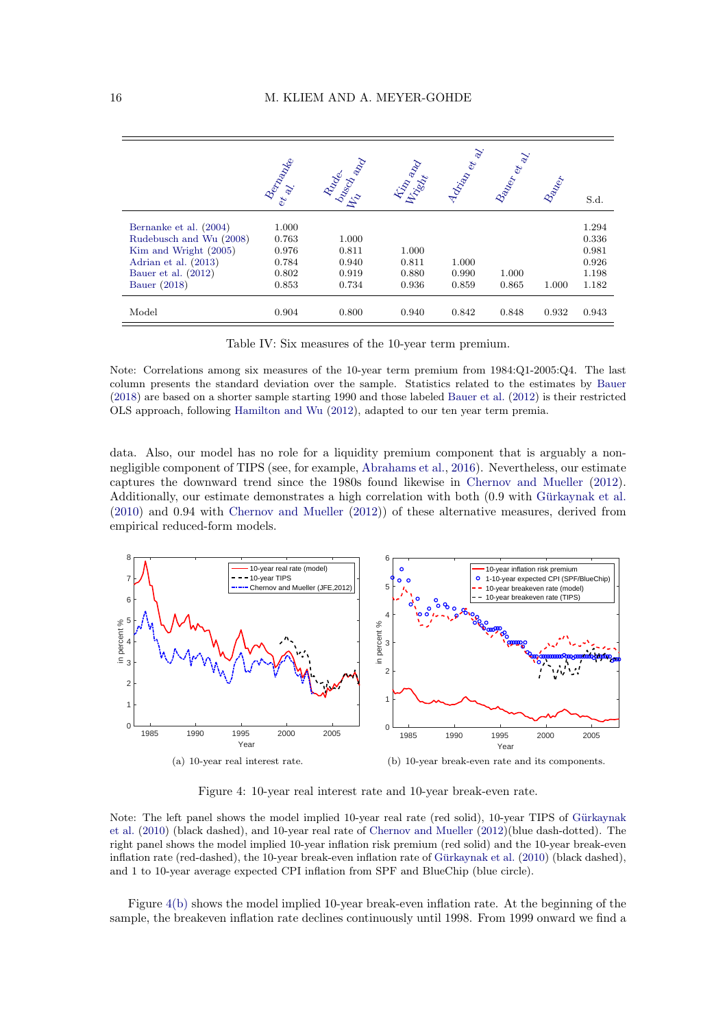<span id="page-15-0"></span>

|                         | <b>Benziante</b> | Rundes<br>University | Kilin and | Advised et al. | Ballon et al. | Bazier | S.d.  |
|-------------------------|------------------|----------------------|-----------|----------------|---------------|--------|-------|
| Bernanke et al. (2004)  | 1.000            |                      |           |                |               |        | 1.294 |
| Rudebusch and Wu (2008) | 0.763            | 1.000                |           |                |               |        | 0.336 |
| Kim and Wright (2005)   | 0.976            | 0.811                | 1.000     |                |               |        | 0.981 |
| Adrian et al. (2013)    | 0.784            | 0.940                | 0.811     | 1.000          |               |        | 0.926 |
| Bauer et al. (2012)     | 0.802            | 0.919                | 0.880     | 0.990          | 1.000         |        | 1.198 |
| Bauer (2018)            | 0.853            | 0.734                | 0.936     | 0.859          | 0.865         | 1.000  | 1.182 |
| Model                   | 0.904            | 0.800                | 0.940     | 0.842          | 0.848         | 0.932  | 0.943 |

Table IV: Six measures of the 10-year term premium.

Note: Correlations among six measures of the 10-year term premium from 1984:Q1-2005:Q4. The last column presents the standard deviation over the sample. Statistics related to the estimates by [Bauer](#page-23-6) [\(2018\)](#page-23-6) are based on a shorter sample starting 1990 and those labeled [Bauer et al.](#page-23-1) [\(2012\)](#page-23-1) is their restricted OLS approach, following [Hamilton and Wu](#page-25-11) [\(2012\)](#page-25-11), adapted to our ten year term premia.

data. Also, our model has no role for a liquidity premium component that is arguably a nonnegligible component of TIPS (see, for example, [Abrahams et al.,](#page-22-6) [2016\)](#page-22-6). Nevertheless, our estimate captures the downward trend since the 1980s found likewise in [Chernov and Mueller](#page-23-3) [\(2012\)](#page-23-3). Additionally, our estimate demonstrates a high correlation with both (0.9 with Gürkaynak et al. [\(2010\)](#page-24-3) and 0.94 with [Chernov and Mueller](#page-23-3) [\(2012\)](#page-23-3)) of these alternative measures, derived from empirical reduced-form models.

<span id="page-15-1"></span>

<span id="page-15-2"></span>Figure 4: 10-year real interest rate and 10-year break-even rate.

Note: The left panel shows the model implied 10-year real rate (red solid), 10-year TIPS of Gürkaynak [et al.](#page-24-3) [\(2010\)](#page-24-3) (black dashed), and 10-year real rate of [Chernov and Mueller](#page-23-3) [\(2012\)](#page-23-3)(blue dash-dotted). The right panel shows the model implied 10-year inflation risk premium (red solid) and the 10-year break-even inflation rate (red-dashed), the 10-year break-even inflation rate of Gürkaynak et al.  $(2010)$  (black dashed), and 1 to 10-year average expected CPI inflation from SPF and BlueChip (blue circle).

Figure [4\(b\)](#page-15-2) shows the model implied 10-year break-even inflation rate. At the beginning of the sample, the breakeven inflation rate declines continuously until 1998. From 1999 onward we find a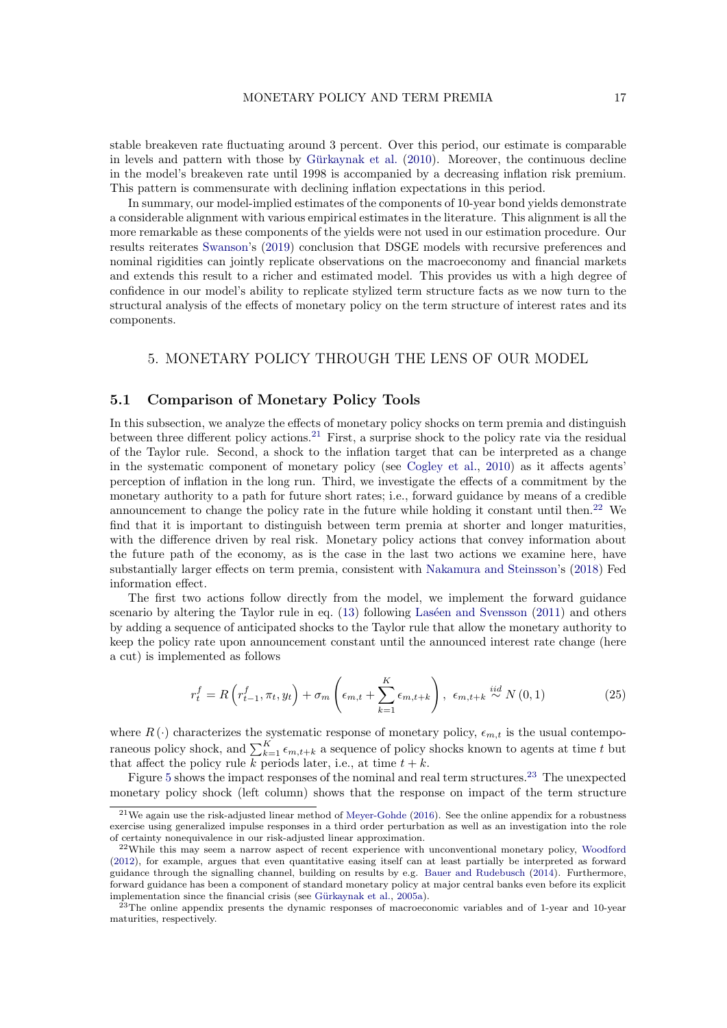stable breakeven rate fluctuating around 3 percent. Over this period, our estimate is comparable in levels and pattern with those by Gürkaynak et al.  $(2010)$ . Moreover, the continuous decline in the model's breakeven rate until 1998 is accompanied by a decreasing inflation risk premium. This pattern is commensurate with declining inflation expectations in this period.

In summary, our model-implied estimates of the components of 10-year bond yields demonstrate a considerable alignment with various empirical estimates in the literature. This alignment is all the more remarkable as these components of the yields were not used in our estimation procedure. Our results reiterates [Swanson'](#page-26-2)s [\(2019\)](#page-26-2) conclusion that DSGE models with recursive preferences and nominal rigidities can jointly replicate observations on the macroeconomy and financial markets and extends this result to a richer and estimated model. This provides us with a high degree of confidence in our model's ability to replicate stylized term structure facts as we now turn to the structural analysis of the effects of monetary policy on the term structure of interest rates and its components.

## 5. MONETARY POLICY THROUGH THE LENS OF OUR MODEL

## 5.1 Comparison of Monetary Policy Tools

In this subsection, we analyze the effects of monetary policy shocks on term premia and distinguish between three different policy actions.[21](#page-16-0) First, a surprise shock to the policy rate via the residual of the Taylor rule. Second, a shock to the inflation target that can be interpreted as a change in the systematic component of monetary policy (see [Cogley et al.,](#page-24-10) [2010\)](#page-24-10) as it affects agents' perception of inflation in the long run. Third, we investigate the effects of a commitment by the monetary authority to a path for future short rates; i.e., forward guidance by means of a credible announcement to change the policy rate in the future while holding it constant until then.<sup>[22](#page-16-1)</sup> We find that it is important to distinguish between term premia at shorter and longer maturities, with the difference driven by real risk. Monetary policy actions that convey information about the future path of the economy, as is the case in the last two actions we examine here, have substantially larger effects on term premia, consistent with [Nakamura and Steinsson'](#page-25-0)s [\(2018\)](#page-25-0) Fed information effect.

The first two actions follow directly from the model, we implement the forward guidance scenario by altering the Taylor rule in eq.  $(13)$  following Laséen and Svensson  $(2011)$  and others by adding a sequence of anticipated shocks to the Taylor rule that allow the monetary authority to keep the policy rate upon announcement constant until the announced interest rate change (here a cut) is implemented as follows

$$
r_t^f = R\left(r_{t-1}^f, \pi_t, y_t\right) + \sigma_m\left(\epsilon_{m,t} + \sum_{k=1}^K \epsilon_{m,t+k}\right), \ \epsilon_{m,t+k} \stackrel{iid}{\sim} N\left(0, 1\right) \tag{25}
$$

where  $R(\cdot)$  characterizes the systematic response of monetary policy,  $\epsilon_{m,t}$  is the usual contemporaneous policy shock, and  $\sum_{k=1}^{K} \epsilon_{m,t+k}$  a sequence of policy shocks known to agents at time t but that affect the policy rule k periods later, i.e., at time  $t + k$ .

Figure [5](#page-17-0) shows the impact responses of the nominal and real term structures.[23](#page-16-2) The unexpected monetary policy shock (left column) shows that the response on impact of the term structure

<span id="page-16-0"></span><sup>21</sup>We again use the risk-adjusted linear method of [Meyer-Gohde](#page-25-4) [\(2016\)](#page-25-4). See the online appendix for a robustness exercise using generalized impulse responses in a third order perturbation as well as an investigation into the role of certainty nonequivalence in our risk-adjusted linear approximation.

<span id="page-16-1"></span><sup>22</sup>While this may seem a narrow aspect of recent experience with unconventional monetary policy, [Woodford](#page-26-8) [\(2012\)](#page-26-8), for example, argues that even quantitative easing itself can at least partially be interpreted as forward guidance through the signalling channel, building on results by e.g. [Bauer and Rudebusch](#page-23-18) [\(2014\)](#page-23-18). Furthermore, forward guidance has been a component of standard monetary policy at major central banks even before its explicit implementation since the financial crisis (see Gürkaynak et al., [2005a\)](#page-24-0).

<span id="page-16-2"></span><sup>&</sup>lt;sup>23</sup>The online appendix presents the dynamic responses of macroeconomic variables and of 1-year and 10-year maturities, respectively.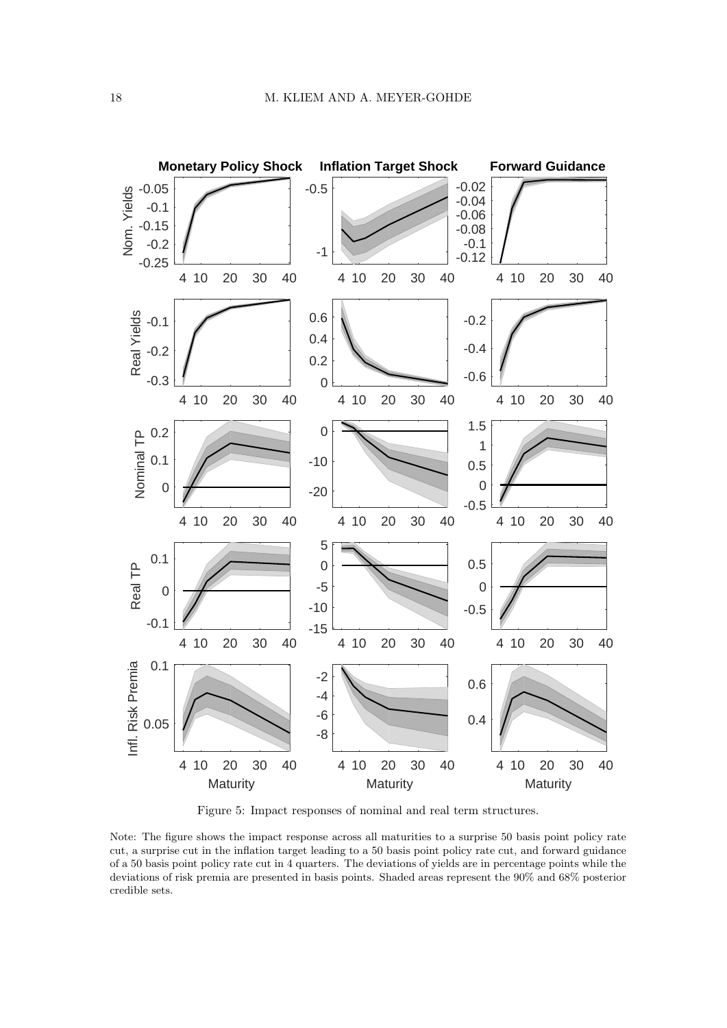<span id="page-17-0"></span>

Figure 5: Impact responses of nominal and real term structures.

Note: The figure shows the impact response across all maturities to a surprise 50 basis point policy rate cut, a surprise cut in the inflation target leading to a 50 basis point policy rate cut, and forward guidance of a 50 basis point policy rate cut in 4 quarters. The deviations of yields are in percentage points while the deviations of risk premia are presented in basis points. Shaded areas represent the 90% and 68% posterior credible sets.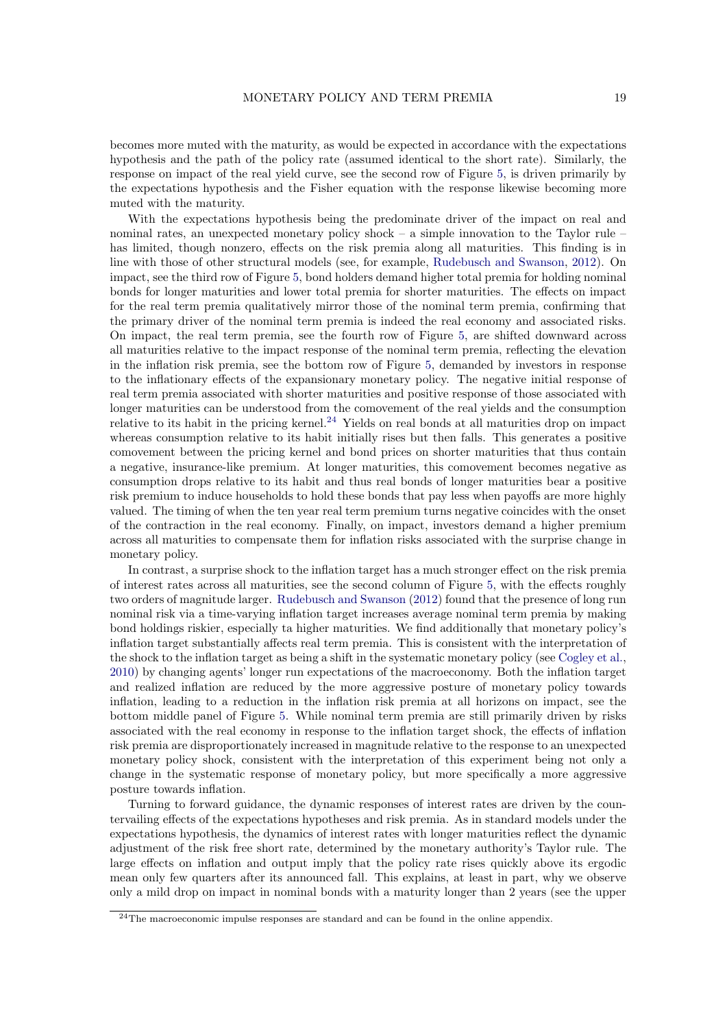becomes more muted with the maturity, as would be expected in accordance with the expectations hypothesis and the path of the policy rate (assumed identical to the short rate). Similarly, the response on impact of the real yield curve, see the second row of Figure [5,](#page-17-0) is driven primarily by the expectations hypothesis and the Fisher equation with the response likewise becoming more muted with the maturity.

With the expectations hypothesis being the predominate driver of the impact on real and nominal rates, an unexpected monetary policy shock – a simple innovation to the Taylor rule – has limited, though nonzero, effects on the risk premia along all maturities. This finding is in line with those of other structural models (see, for example, [Rudebusch and Swanson,](#page-25-2) [2012\)](#page-25-2). On impact, see the third row of Figure [5,](#page-17-0) bond holders demand higher total premia for holding nominal bonds for longer maturities and lower total premia for shorter maturities. The effects on impact for the real term premia qualitatively mirror those of the nominal term premia, confirming that the primary driver of the nominal term premia is indeed the real economy and associated risks. On impact, the real term premia, see the fourth row of Figure [5,](#page-17-0) are shifted downward across all maturities relative to the impact response of the nominal term premia, reflecting the elevation in the inflation risk premia, see the bottom row of Figure [5,](#page-17-0) demanded by investors in response to the inflationary effects of the expansionary monetary policy. The negative initial response of real term premia associated with shorter maturities and positive response of those associated with longer maturities can be understood from the comovement of the real yields and the consumption relative to its habit in the pricing kernel.<sup>[24](#page-18-0)</sup> Yields on real bonds at all maturities drop on impact whereas consumption relative to its habit initially rises but then falls. This generates a positive comovement between the pricing kernel and bond prices on shorter maturities that thus contain a negative, insurance-like premium. At longer maturities, this comovement becomes negative as consumption drops relative to its habit and thus real bonds of longer maturities bear a positive risk premium to induce households to hold these bonds that pay less when payoffs are more highly valued. The timing of when the ten year real term premium turns negative coincides with the onset of the contraction in the real economy. Finally, on impact, investors demand a higher premium across all maturities to compensate them for inflation risks associated with the surprise change in monetary policy.

In contrast, a surprise shock to the inflation target has a much stronger effect on the risk premia of interest rates across all maturities, see the second column of Figure [5,](#page-17-0) with the effects roughly two orders of magnitude larger. [Rudebusch and Swanson](#page-25-2) [\(2012\)](#page-25-2) found that the presence of long run nominal risk via a time-varying inflation target increases average nominal term premia by making bond holdings riskier, especially ta higher maturities. We find additionally that monetary policy's inflation target substantially affects real term premia. This is consistent with the interpretation of the shock to the inflation target as being a shift in the systematic monetary policy (see [Cogley et al.,](#page-24-10) [2010\)](#page-24-10) by changing agents' longer run expectations of the macroeconomy. Both the inflation target and realized inflation are reduced by the more aggressive posture of monetary policy towards inflation, leading to a reduction in the inflation risk premia at all horizons on impact, see the bottom middle panel of Figure [5.](#page-17-0) While nominal term premia are still primarily driven by risks associated with the real economy in response to the inflation target shock, the effects of inflation risk premia are disproportionately increased in magnitude relative to the response to an unexpected monetary policy shock, consistent with the interpretation of this experiment being not only a change in the systematic response of monetary policy, but more specifically a more aggressive posture towards inflation.

Turning to forward guidance, the dynamic responses of interest rates are driven by the countervailing effects of the expectations hypotheses and risk premia. As in standard models under the expectations hypothesis, the dynamics of interest rates with longer maturities reflect the dynamic adjustment of the risk free short rate, determined by the monetary authority's Taylor rule. The large effects on inflation and output imply that the policy rate rises quickly above its ergodic mean only few quarters after its announced fall. This explains, at least in part, why we observe only a mild drop on impact in nominal bonds with a maturity longer than 2 years (see the upper

<span id="page-18-0"></span><sup>24</sup>The macroeconomic impulse responses are standard and can be found in the online appendix.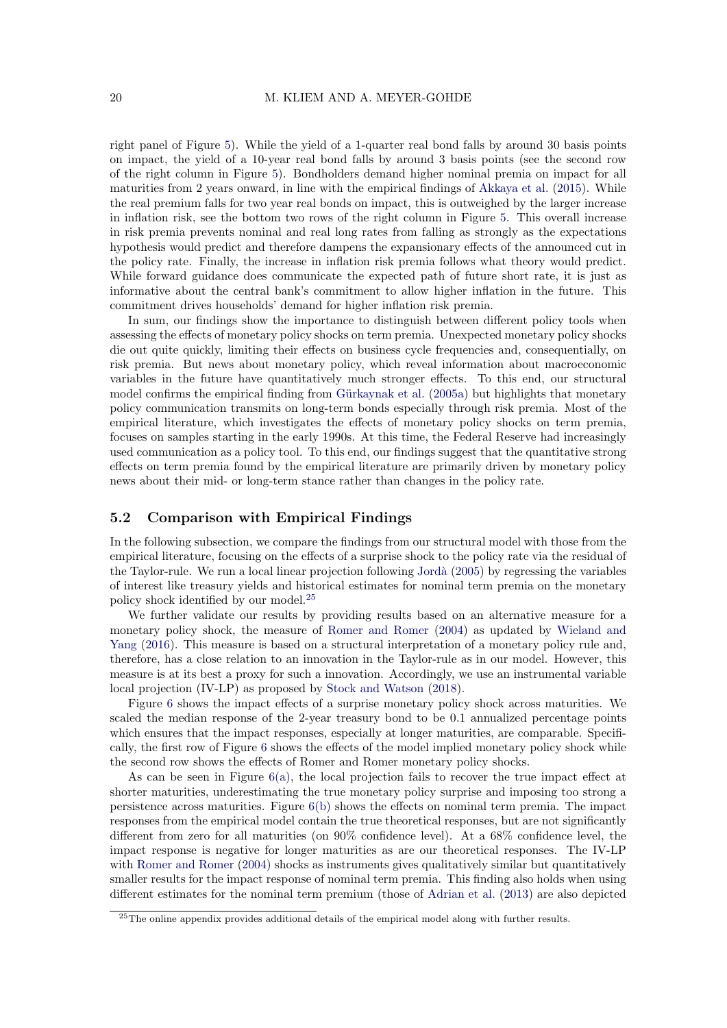right panel of Figure [5\)](#page-17-0). While the yield of a 1-quarter real bond falls by around 30 basis points on impact, the yield of a 10-year real bond falls by around 3 basis points (see the second row of the right column in Figure [5\)](#page-17-0). Bondholders demand higher nominal premia on impact for all maturities from 2 years onward, in line with the empirical findings of [Akkaya et al.](#page-22-7) [\(2015\)](#page-22-7). While the real premium falls for two year real bonds on impact, this is outweighed by the larger increase in inflation risk, see the bottom two rows of the right column in Figure [5.](#page-17-0) This overall increase in risk premia prevents nominal and real long rates from falling as strongly as the expectations hypothesis would predict and therefore dampens the expansionary effects of the announced cut in the policy rate. Finally, the increase in inflation risk premia follows what theory would predict. While forward guidance does communicate the expected path of future short rate, it is just as informative about the central bank's commitment to allow higher inflation in the future. This commitment drives households' demand for higher inflation risk premia.

In sum, our findings show the importance to distinguish between different policy tools when assessing the effects of monetary policy shocks on term premia. Unexpected monetary policy shocks die out quite quickly, limiting their effects on business cycle frequencies and, consequentially, on risk premia. But news about monetary policy, which reveal information about macroeconomic variables in the future have quantitatively much stronger effects. To this end, our structural model confirms the empirical finding from Gürkaynak et al.  $(2005a)$  but highlights that monetary policy communication transmits on long-term bonds especially through risk premia. Most of the empirical literature, which investigates the effects of monetary policy shocks on term premia, focuses on samples starting in the early 1990s. At this time, the Federal Reserve had increasingly used communication as a policy tool. To this end, our findings suggest that the quantitative strong effects on term premia found by the empirical literature are primarily driven by monetary policy news about their mid- or long-term stance rather than changes in the policy rate.

## 5.2 Comparison with Empirical Findings

In the following subsection, we compare the findings from our structural model with those from the empirical literature, focusing on the effects of a surprise shock to the policy rate via the residual of the Taylor-rule. We run a local linear projection following [Jord`a](#page-25-18) [\(2005\)](#page-25-18) by regressing the variables of interest like treasury yields and historical estimates for nominal term premia on the monetary policy shock identified by our model.[25](#page-19-0)

We further validate our results by providing results based on an alternative measure for a monetary policy shock, the measure of [Romer and Romer](#page-25-19) [\(2004\)](#page-25-19) as updated by [Wieland and](#page-26-9) [Yang](#page-26-9) [\(2016\)](#page-26-9). This measure is based on a structural interpretation of a monetary policy rule and, therefore, has a close relation to an innovation in the Taylor-rule as in our model. However, this measure is at its best a proxy for such a innovation. Accordingly, we use an instrumental variable local projection (IV-LP) as proposed by [Stock and Watson](#page-26-10) [\(2018\)](#page-26-10).

Figure [6](#page-20-0) shows the impact effects of a surprise monetary policy shock across maturities. We scaled the median response of the 2-year treasury bond to be 0.1 annualized percentage points which ensures that the impact responses, especially at longer maturities, are comparable. Specifically, the first row of Figure [6](#page-20-0) shows the effects of the model implied monetary policy shock while the second row shows the effects of Romer and Romer monetary policy shocks.

As can be seen in Figure [6\(a\),](#page-20-1) the local projection fails to recover the true impact effect at shorter maturities, underestimating the true monetary policy surprise and imposing too strong a persistence across maturities. Figure  $6(b)$  shows the effects on nominal term premia. The impact responses from the empirical model contain the true theoretical responses, but are not significantly different from zero for all maturities (on 90% confidence level). At a 68% confidence level, the impact response is negative for longer maturities as are our theoretical responses. The IV-LP with [Romer and Romer](#page-25-19) [\(2004\)](#page-25-19) shocks as instruments gives qualitatively similar but quantitatively smaller results for the impact response of nominal term premia. This finding also holds when using different estimates for the nominal term premium (those of [Adrian et al.](#page-22-3) [\(2013\)](#page-22-3) are also depicted

<span id="page-19-0"></span><sup>&</sup>lt;sup>25</sup>The online appendix provides additional details of the empirical model along with further results.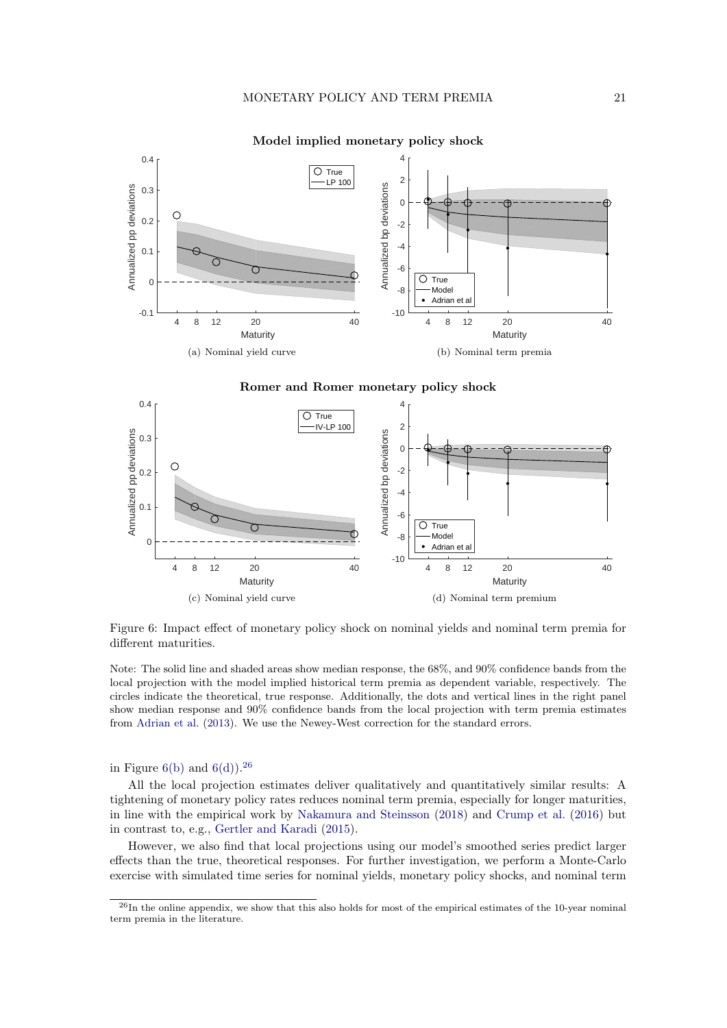<span id="page-20-1"></span><span id="page-20-0"></span>

Model implied monetary policy shock

<span id="page-20-3"></span><span id="page-20-2"></span>Romer and Romer monetary policy shock



Figure 6: Impact effect of monetary policy shock on nominal yields and nominal term premia for different maturities.

Note: The solid line and shaded areas show median response, the 68%, and 90% confidence bands from the local projection with the model implied historical term premia as dependent variable, respectively. The circles indicate the theoretical, true response. Additionally, the dots and vertical lines in the right panel show median response and 90% confidence bands from the local projection with term premia estimates from [Adrian et al.](#page-22-3) [\(2013\)](#page-22-3). We use the Newey-West correction for the standard errors.

in Figure [6\(b\)](#page-20-2) and  $6(d)$ .<sup>[26](#page-20-4)</sup>

All the local projection estimates deliver qualitatively and quantitatively similar results: A tightening of monetary policy rates reduces nominal term premia, especially for longer maturities, in line with the empirical work by [Nakamura and Steinsson](#page-25-0) [\(2018\)](#page-25-0) and [Crump et al.](#page-24-9) [\(2016\)](#page-24-9) but in contrast to, e.g., [Gertler and Karadi](#page-24-8) [\(2015\)](#page-24-8).

However, we also find that local projections using our model's smoothed series predict larger effects than the true, theoretical responses. For further investigation, we perform a Monte-Carlo exercise with simulated time series for nominal yields, monetary policy shocks, and nominal term

<span id="page-20-4"></span><sup>&</sup>lt;sup>26</sup>In the online appendix, we show that this also holds for most of the empirical estimates of the 10-year nominal term premia in the literature.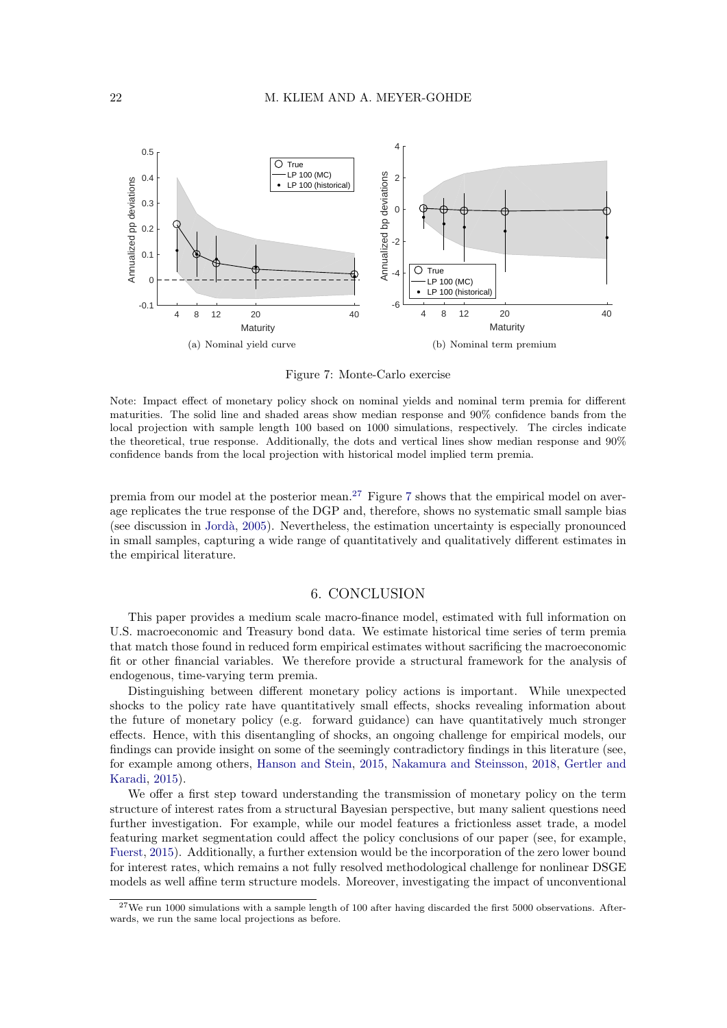<span id="page-21-1"></span>

Figure 7: Monte-Carlo exercise

Note: Impact effect of monetary policy shock on nominal yields and nominal term premia for different maturities. The solid line and shaded areas show median response and 90% confidence bands from the local projection with sample length 100 based on 1000 simulations, respectively. The circles indicate the theoretical, true response. Additionally, the dots and vertical lines show median response and 90% confidence bands from the local projection with historical model implied term premia.

premia from our model at the posterior mean.<sup>[27](#page-21-0)</sup> Figure [7](#page-21-1) shows that the empirical model on average replicates the true response of the DGP and, therefore, shows no systematic small sample bias (see discussion in [Jord`a,](#page-25-18) [2005\)](#page-25-18). Nevertheless, the estimation uncertainty is especially pronounced in small samples, capturing a wide range of quantitatively and qualitatively different estimates in the empirical literature.

#### 6. CONCLUSION

This paper provides a medium scale macro-finance model, estimated with full information on U.S. macroeconomic and Treasury bond data. We estimate historical time series of term premia that match those found in reduced form empirical estimates without sacrificing the macroeconomic fit or other financial variables. We therefore provide a structural framework for the analysis of endogenous, time-varying term premia.

Distinguishing between different monetary policy actions is important. While unexpected shocks to the policy rate have quantitatively small effects, shocks revealing information about the future of monetary policy (e.g. forward guidance) can have quantitatively much stronger effects. Hence, with this disentangling of shocks, an ongoing challenge for empirical models, our findings can provide insight on some of the seemingly contradictory findings in this literature (see, for example among others, [Hanson and Stein,](#page-25-8) [2015,](#page-25-8) [Nakamura and Steinsson,](#page-25-0) [2018,](#page-25-0) [Gertler and](#page-24-8) [Karadi,](#page-24-8) [2015\)](#page-24-8).

We offer a first step toward understanding the transmission of monetary policy on the term structure of interest rates from a structural Bayesian perspective, but many salient questions need further investigation. For example, while our model features a frictionless asset trade, a model featuring market segmentation could affect the policy conclusions of our paper (see, for example, [Fuerst,](#page-24-18) [2015\)](#page-24-18). Additionally, a further extension would be the incorporation of the zero lower bound for interest rates, which remains a not fully resolved methodological challenge for nonlinear DSGE models as well affine term structure models. Moreover, investigating the impact of unconventional

<span id="page-21-0"></span> $27$ We run 1000 simulations with a sample length of 100 after having discarded the first 5000 observations. Afterwards, we run the same local projections as before.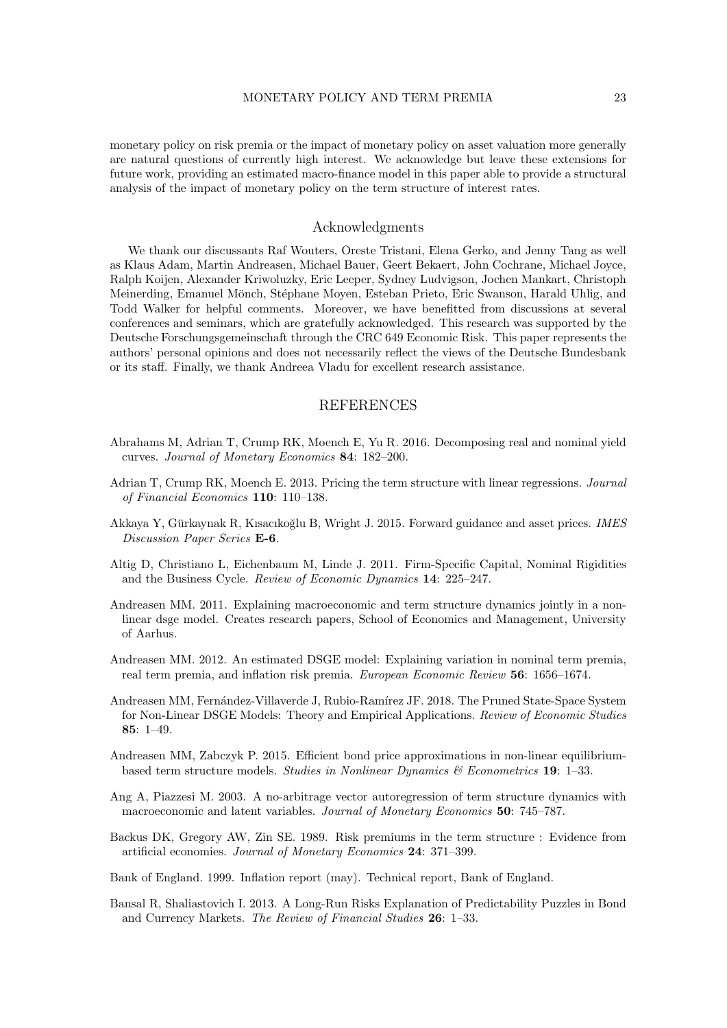monetary policy on risk premia or the impact of monetary policy on asset valuation more generally are natural questions of currently high interest. We acknowledge but leave these extensions for future work, providing an estimated macro-finance model in this paper able to provide a structural analysis of the impact of monetary policy on the term structure of interest rates.

## Acknowledgments

We thank our discussants Raf Wouters, Oreste Tristani, Elena Gerko, and Jenny Tang as well as Klaus Adam, Martin Andreasen, Michael Bauer, Geert Bekaert, John Cochrane, Michael Joyce, Ralph Koijen, Alexander Kriwoluzky, Eric Leeper, Sydney Ludvigson, Jochen Mankart, Christoph Meinerding, Emanuel Mönch, Stéphane Moyen, Esteban Prieto, Eric Swanson, Harald Uhlig, and Todd Walker for helpful comments. Moreover, we have benefitted from discussions at several conferences and seminars, which are gratefully acknowledged. This research was supported by the Deutsche Forschungsgemeinschaft through the CRC 649 Economic Risk. This paper represents the authors' personal opinions and does not necessarily reflect the views of the Deutsche Bundesbank or its staff. Finally, we thank Andreea Vladu for excellent research assistance.

#### **REFERENCES**

- <span id="page-22-6"></span>Abrahams M, Adrian T, Crump RK, Moench E, Yu R. 2016. Decomposing real and nominal yield curves. Journal of Monetary Economics 84: 182–200.
- <span id="page-22-3"></span>Adrian T, Crump RK, Moench E. 2013. Pricing the term structure with linear regressions. Journal of Financial Economics 110: 110–138.
- <span id="page-22-7"></span>Akkaya Y, Gürkaynak R, Kısacıkoğlu B, Wright J. 2015. Forward guidance and asset prices. IMES Discussion Paper Series E-6.
- <span id="page-22-8"></span>Altig D, Christiano L, Eichenbaum M, Linde J. 2011. Firm-Specific Capital, Nominal Rigidities and the Business Cycle. Review of Economic Dynamics 14: 225–247.
- <span id="page-22-2"></span>Andreasen MM. 2011. Explaining macroeconomic and term structure dynamics jointly in a nonlinear dsge model. Creates research papers, School of Economics and Management, University of Aarhus.
- <span id="page-22-4"></span>Andreasen MM. 2012. An estimated DSGE model: Explaining variation in nominal term premia, real term premia, and inflation risk premia. European Economic Review 56: 1656–1674.
- <span id="page-22-1"></span>Andreasen MM, Fernández-Villaverde J, Rubio-Ramírez JF. 2018. The Pruned State-Space System for Non-Linear DSGE Models: Theory and Empirical Applications. Review of Economic Studies 85: 1–49.
- <span id="page-22-10"></span>Andreasen MM, Zabczyk P. 2015. Efficient bond price approximations in non-linear equilibriumbased term structure models. Studies in Nonlinear Dynamics  $\mathcal{B}$  Econometrics 19: 1–33.
- <span id="page-22-9"></span>Ang A, Piazzesi M. 2003. A no-arbitrage vector autoregression of term structure dynamics with macroeconomic and latent variables. Journal of Monetary Economics 50: 745–787.
- <span id="page-22-11"></span>Backus DK, Gregory AW, Zin SE. 1989. Risk premiums in the term structure : Evidence from artificial economies. Journal of Monetary Economics 24: 371–399.
- <span id="page-22-5"></span>Bank of England. 1999. Inflation report (may). Technical report, Bank of England.
- <span id="page-22-0"></span>Bansal R, Shaliastovich I. 2013. A Long-Run Risks Explanation of Predictability Puzzles in Bond and Currency Markets. The Review of Financial Studies 26: 1–33.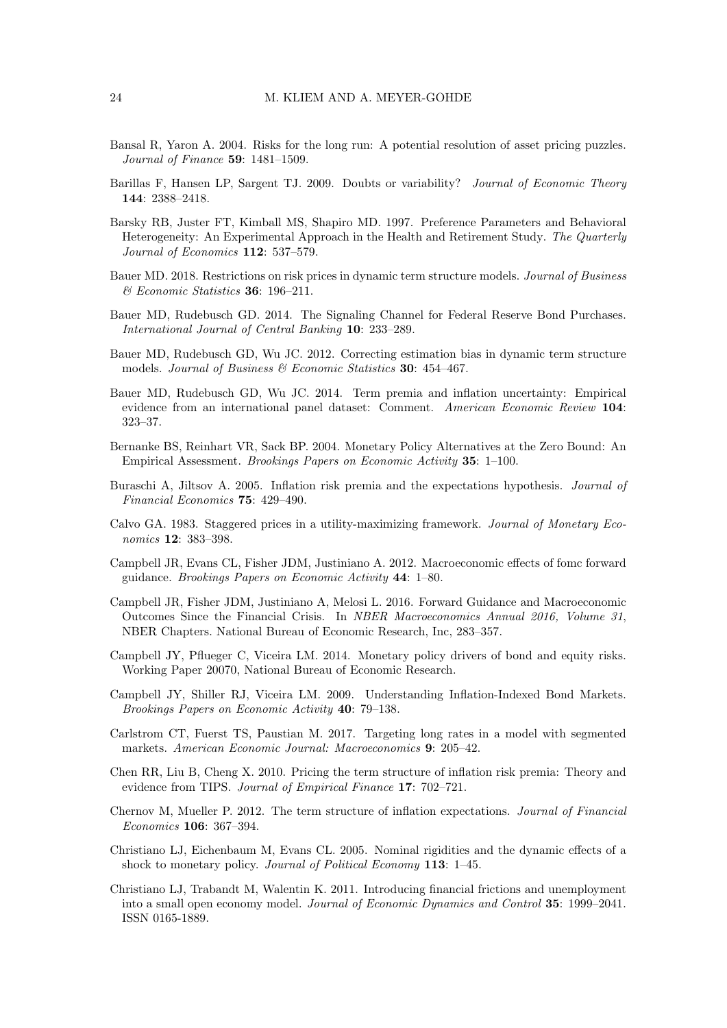- <span id="page-23-9"></span>Bansal R, Yaron A. 2004. Risks for the long run: A potential resolution of asset pricing puzzles. Journal of Finance 59: 1481–1509.
- <span id="page-23-15"></span>Barillas F, Hansen LP, Sargent TJ. 2009. Doubts or variability? Journal of Economic Theory 144: 2388–2418.
- <span id="page-23-14"></span>Barsky RB, Juster FT, Kimball MS, Shapiro MD. 1997. Preference Parameters and Behavioral Heterogeneity: An Experimental Approach in the Health and Retirement Study. The Quarterly Journal of Economics 112: 537–579.
- <span id="page-23-6"></span>Bauer MD. 2018. Restrictions on risk prices in dynamic term structure models. Journal of Business & Economic Statistics 36: 196–211.
- <span id="page-23-18"></span>Bauer MD, Rudebusch GD. 2014. The Signaling Channel for Federal Reserve Bond Purchases. International Journal of Central Banking 10: 233–289.
- <span id="page-23-1"></span>Bauer MD, Rudebusch GD, Wu JC. 2012. Correcting estimation bias in dynamic term structure models. Journal of Business  $\mathcal B$  Economic Statistics 30: 454-467.
- <span id="page-23-2"></span>Bauer MD, Rudebusch GD, Wu JC. 2014. Term premia and inflation uncertainty: Empirical evidence from an international panel dataset: Comment. American Economic Review 104: 323–37.
- <span id="page-23-5"></span>Bernanke BS, Reinhart VR, Sack BP. 2004. Monetary Policy Alternatives at the Zero Bound: An Empirical Assessment. Brookings Papers on Economic Activity 35: 1–100.
- <span id="page-23-16"></span>Buraschi A, Jiltsov A. 2005. Inflation risk premia and the expectations hypothesis. Journal of Financial Economics 75: 429–490.
- <span id="page-23-10"></span>Calvo GA. 1983. Staggered prices in a utility-maximizing framework. Journal of Monetary Economics 12: 383–398.
- <span id="page-23-0"></span>Campbell JR, Evans CL, Fisher JDM, Justiniano A. 2012. Macroeconomic effects of fomc forward guidance. Brookings Papers on Economic Activity 44: 1–80.
- <span id="page-23-8"></span>Campbell JR, Fisher JDM, Justiniano A, Melosi L. 2016. Forward Guidance and Macroeconomic Outcomes Since the Financial Crisis. In NBER Macroeconomics Annual 2016, Volume 31, NBER Chapters. National Bureau of Economic Research, Inc, 283–357.
- <span id="page-23-12"></span>Campbell JY, Pflueger C, Viceira LM. 2014. Monetary policy drivers of bond and equity risks. Working Paper 20070, National Bureau of Economic Research.
- <span id="page-23-7"></span>Campbell JY, Shiller RJ, Viceira LM. 2009. Understanding Inflation-Indexed Bond Markets. Brookings Papers on Economic Activity 40: 79–138.
- <span id="page-23-4"></span>Carlstrom CT, Fuerst TS, Paustian M. 2017. Targeting long rates in a model with segmented markets. American Economic Journal: Macroeconomics 9: 205–42.
- <span id="page-23-17"></span>Chen RR, Liu B, Cheng X. 2010. Pricing the term structure of inflation risk premia: Theory and evidence from TIPS. Journal of Empirical Finance 17: 702-721.
- <span id="page-23-3"></span>Chernov M, Mueller P. 2012. The term structure of inflation expectations. Journal of Financial Economics 106: 367–394.
- <span id="page-23-11"></span>Christiano LJ, Eichenbaum M, Evans CL. 2005. Nominal rigidities and the dynamic effects of a shock to monetary policy. Journal of Political Economy 113: 1–45.
- <span id="page-23-13"></span>Christiano LJ, Trabandt M, Walentin K. 2011. Introducing financial frictions and unemployment into a small open economy model. Journal of Economic Dynamics and Control 35: 1999–2041. ISSN 0165-1889.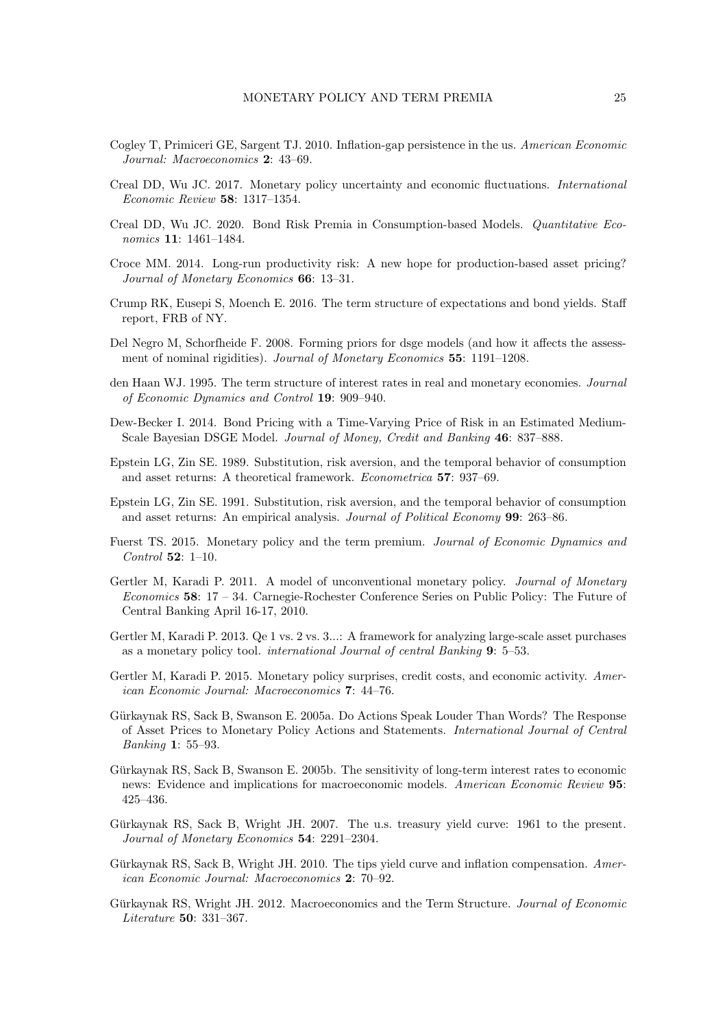- <span id="page-24-10"></span>Cogley T, Primiceri GE, Sargent TJ. 2010. Inflation-gap persistence in the us. American Economic Journal: Macroeconomics 2: 43–69.
- <span id="page-24-2"></span>Creal DD, Wu JC. 2017. Monetary policy uncertainty and economic fluctuations. International Economic Review 58: 1317–1354.
- <span id="page-24-1"></span>Creal DD, Wu JC. 2020. Bond Risk Premia in Consumption-based Models. Quantitative Economics 11: 1461–1484.
- <span id="page-24-14"></span>Croce MM. 2014. Long-run productivity risk: A new hope for production-based asset pricing? Journal of Monetary Economics 66: 13–31.
- <span id="page-24-9"></span>Crump RK, Eusepi S, Moench E. 2016. The term structure of expectations and bond yields. Staff report, FRB of NY.
- <span id="page-24-16"></span>Del Negro M, Schorfheide F. 2008. Forming priors for dsge models (and how it affects the assessment of nominal rigidities). Journal of Monetary Economics 55: 1191–1208.
- <span id="page-24-17"></span>den Haan WJ. 1995. The term structure of interest rates in real and monetary economies. Journal of Economic Dynamics and Control 19: 909–940.
- <span id="page-24-7"></span>Dew-Becker I. 2014. Bond Pricing with a Time-Varying Price of Risk in an Estimated Medium-Scale Bayesian DSGE Model. Journal of Money, Credit and Banking 46: 837–888.
- <span id="page-24-11"></span>Epstein LG, Zin SE. 1989. Substitution, risk aversion, and the temporal behavior of consumption and asset returns: A theoretical framework. Econometrica 57: 937–69.
- <span id="page-24-12"></span>Epstein LG, Zin SE. 1991. Substitution, risk aversion, and the temporal behavior of consumption and asset returns: An empirical analysis. Journal of Political Economy 99: 263–86.
- <span id="page-24-18"></span>Fuerst TS. 2015. Monetary policy and the term premium. Journal of Economic Dynamics and Control 52: 1–10.
- <span id="page-24-4"></span>Gertler M, Karadi P. 2011. A model of unconventional monetary policy. Journal of Monetary Economics 58: 17 – 34. Carnegie-Rochester Conference Series on Public Policy: The Future of Central Banking April 16-17, 2010.
- <span id="page-24-5"></span>Gertler M, Karadi P. 2013. Qe 1 vs. 2 vs. 3...: A framework for analyzing large-scale asset purchases as a monetary policy tool. international Journal of central Banking 9: 5–53.
- <span id="page-24-8"></span>Gertler M, Karadi P. 2015. Monetary policy surprises, credit costs, and economic activity. American Economic Journal: Macroeconomics 7: 44–76.
- <span id="page-24-0"></span>Gürkaynak RS, Sack B, Swanson E. 2005a. Do Actions Speak Louder Than Words? The Response of Asset Prices to Monetary Policy Actions and Statements. International Journal of Central Banking 1: 55–93.
- <span id="page-24-13"></span>Gürkaynak RS, Sack B, Swanson E. 2005b. The sensitivity of long-term interest rates to economic news: Evidence and implications for macroeconomic models. American Economic Review 95: 425–436.
- <span id="page-24-15"></span>Gürkaynak RS, Sack B, Wright JH. 2007. The u.s. treasury yield curve: 1961 to the present. Journal of Monetary Economics 54: 2291–2304.
- <span id="page-24-3"></span>Gürkaynak RS, Sack B, Wright JH. 2010. The tips yield curve and inflation compensation.  $Amer$ ican Economic Journal: Macroeconomics 2: 70–92.
- <span id="page-24-6"></span>Gürkaynak RS, Wright JH. 2012. Macroeconomics and the Term Structure. Journal of Economic Literature 50: 331–367.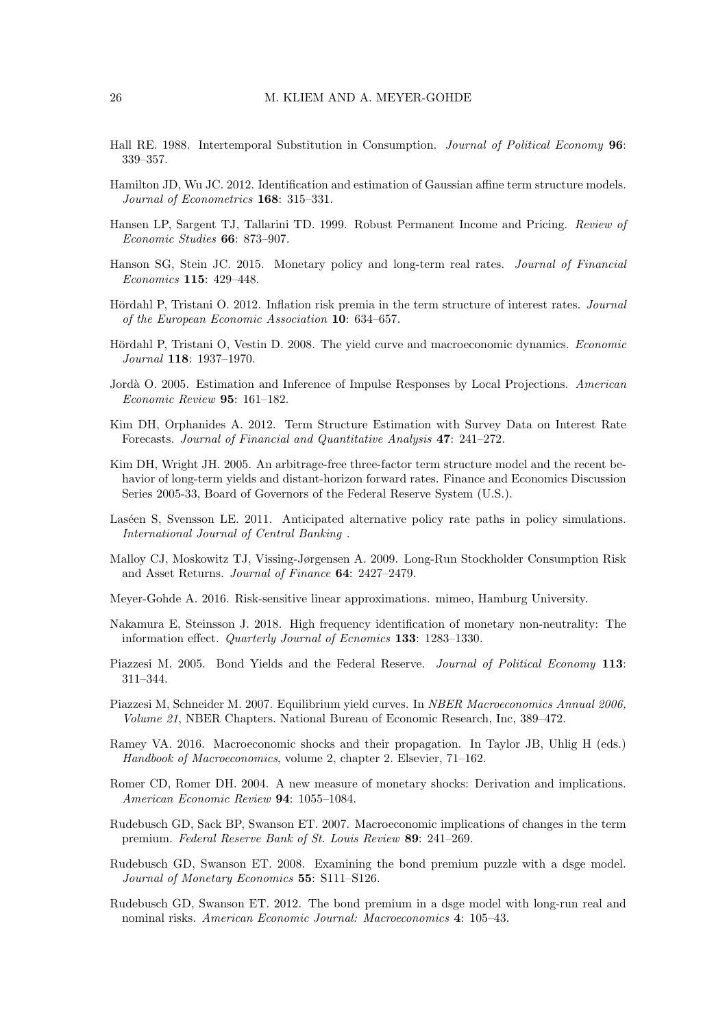- <span id="page-25-13"></span>Hall RE. 1988. Intertemporal Substitution in Consumption. Journal of Political Economy 96: 339–357.
- <span id="page-25-11"></span>Hamilton JD, Wu JC. 2012. Identification and estimation of Gaussian affine term structure models. Journal of Econometrics 168: 315–331.
- <span id="page-25-15"></span>Hansen LP, Sargent TJ, Tallarini TD. 1999. Robust Permanent Income and Pricing. Review of Economic Studies 66: 873–907.
- <span id="page-25-8"></span>Hanson SG, Stein JC. 2015. Monetary policy and long-term real rates. Journal of Financial Economics 115: 429–448.
- <span id="page-25-16"></span>Hördahl P, Tristani O. 2012. Inflation risk premia in the term structure of interest rates. *Journal* of the European Economic Association 10: 634–657.
- <span id="page-25-6"></span>Hördahl P, Tristani O, Vestin D. 2008. The yield curve and macroeconomic dynamics. Economic Journal 118: 1937–1970.
- <span id="page-25-18"></span>Jordà O. 2005. Estimation and Inference of Impulse Responses by Local Projections. American Economic Review 95: 161–182.
- <span id="page-25-12"></span>Kim DH, Orphanides A. 2012. Term Structure Estimation with Survey Data on Interest Rate Forecasts. Journal of Financial and Quantitative Analysis 47: 241–272.
- <span id="page-25-5"></span>Kim DH, Wright JH. 2005. An arbitrage-free three-factor term structure model and the recent behavior of long-term yields and distant-horizon forward rates. Finance and Economics Discussion Series 2005-33, Board of Governors of the Federal Reserve System (U.S.).
- <span id="page-25-17"></span>Laséen S, Svensson LE. 2011. Anticipated alternative policy rate paths in policy simulations. International Journal of Central Banking .
- <span id="page-25-14"></span>Malloy CJ, Moskowitz TJ, Vissing-Jørgensen A. 2009. Long-Run Stockholder Consumption Risk and Asset Returns. Journal of Finance 64: 2427–2479.
- <span id="page-25-4"></span>Meyer-Gohde A. 2016. Risk-sensitive linear approximations. mimeo, Hamburg University.
- <span id="page-25-0"></span>Nakamura E, Steinsson J. 2018. High frequency identification of monetary non-neutrality: The information effect. Quarterly Journal of Ecnomics 133: 1283–1330.
- <span id="page-25-7"></span>Piazzesi M. 2005. Bond Yields and the Federal Reserve. *Journal of Political Economy* 113: 311–344.
- <span id="page-25-3"></span>Piazzesi M, Schneider M. 2007. Equilibrium yield curves. In NBER Macroeconomics Annual 2006, Volume 21, NBER Chapters. National Bureau of Economic Research, Inc, 389–472.
- <span id="page-25-9"></span>Ramey VA. 2016. Macroeconomic shocks and their propagation. In Taylor JB, Uhlig H (eds.) Handbook of Macroeconomics, volume 2, chapter 2. Elsevier, 71–162.
- <span id="page-25-19"></span>Romer CD, Romer DH. 2004. A new measure of monetary shocks: Derivation and implications. American Economic Review 94: 1055–1084.
- <span id="page-25-1"></span>Rudebusch GD, Sack BP, Swanson ET. 2007. Macroeconomic implications of changes in the term premium. Federal Reserve Bank of St. Louis Review 89: 241–269.
- <span id="page-25-10"></span>Rudebusch GD, Swanson ET. 2008. Examining the bond premium puzzle with a dsge model. Journal of Monetary Economics 55: S111–S126.
- <span id="page-25-2"></span>Rudebusch GD, Swanson ET. 2012. The bond premium in a dsge model with long-run real and nominal risks. American Economic Journal: Macroeconomics 4: 105–43.